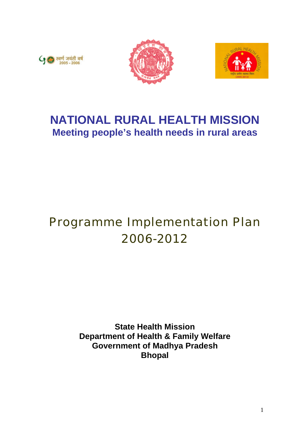





# **NATIONAL RURAL HEALTH MISSION Meeting people's health needs in rural areas**

# Programme Implementation Plan 2006-2012

**State Health Mission Department of Health & Family Welfare Government of Madhya Pradesh Bhopal**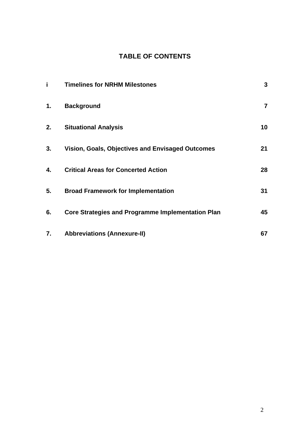# **TABLE OF CONTENTS**

| i  | <b>Timelines for NRHM Milestones</b>                     | $\mathbf 3$    |
|----|----------------------------------------------------------|----------------|
| 1. | <b>Background</b>                                        | $\overline{7}$ |
| 2. | <b>Situational Analysis</b>                              | 10             |
| 3. | <b>Vision, Goals, Objectives and Envisaged Outcomes</b>  | 21             |
| 4. | <b>Critical Areas for Concerted Action</b>               | 28             |
| 5. | <b>Broad Framework for Implementation</b>                | 31             |
| 6. | <b>Core Strategies and Programme Implementation Plan</b> | 45             |
| 7. | <b>Abbreviations (Annexure-II)</b>                       | 67             |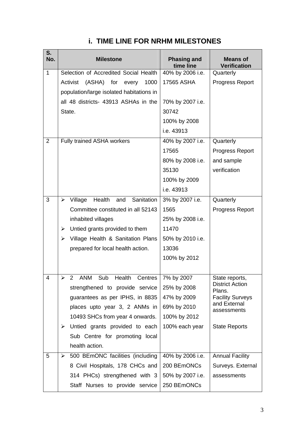| S.<br>No.      | <b>Milestone</b>                                 | <b>Phasing and</b><br>time line | <b>Means of</b><br><b>Verification</b> |
|----------------|--------------------------------------------------|---------------------------------|----------------------------------------|
| $\mathbf{1}$   | Selection of Accredited Social Health            | 40% by 2006 i.e.                | Quarterly                              |
|                | Activist<br>(ASHA) for<br>1000<br>every          | <b>17565 ASHA</b>               | Progress Report                        |
|                | population/large isolated habitations in         |                                 |                                        |
|                | all 48 districts- 43913 ASHAs in the             | 70% by 2007 i.e.                |                                        |
|                | State.                                           | 30742                           |                                        |
|                |                                                  | 100% by 2008                    |                                        |
|                |                                                  | i.e. 43913                      |                                        |
| $\overline{2}$ | Fully trained ASHA workers                       | 40% by 2007 i.e.                | Quarterly                              |
|                |                                                  | 17565                           | Progress Report                        |
|                |                                                  | 80% by 2008 i.e.                | and sample                             |
|                |                                                  | 35130                           | verification                           |
|                |                                                  | 100% by 2009                    |                                        |
|                |                                                  | i.e. 43913                      |                                        |
| 3              | Village<br>Health<br>Sanitation<br>and<br>➤      | 3% by 2007 i.e.                 | Quarterly                              |
|                | Committee constituted in all 52143               | 1565                            | Progress Report                        |
|                | inhabited villages                               | 25% by 2008 i.e.                |                                        |
|                | Untied grants provided to them<br>➤              | 11470                           |                                        |
|                | Village Health & Sanitation Plans<br>≻           | 50% by 2010 i.e.                |                                        |
|                | prepared for local health action.                | 13036                           |                                        |
|                |                                                  | 100% by 2012                    |                                        |
|                |                                                  |                                 |                                        |
| $\overline{4}$ | <b>ANM</b><br>Sub<br>Health<br>2<br>➤<br>Centres | 7% by 2007                      | State reports,                         |
|                | strengthened to provide service                  | 25% by 2008                     | <b>District Action</b><br>Plans.       |
|                | guarantees as per IPHS, in 8835                  | 47% by 2009                     | <b>Facility Surveys</b>                |
|                | places upto year 3, 2 ANMs in                    | 69% by 2010                     | and External<br>assessments            |
|                | 10493 SHCs from year 4 onwards.                  | 100% by 2012                    |                                        |
|                | Untied grants provided to each<br>➤              | 100% each year                  | <b>State Reports</b>                   |
|                | Sub Centre for promoting local                   |                                 |                                        |
|                | health action.                                   |                                 |                                        |
| 5              | 500 BEmONC facilities (including<br>➤            | 40% by 2006 i.e.                | <b>Annual Facility</b>                 |
|                | 8 Civil Hospitals, 178 CHCs and                  | 200 BEmONCs                     | Surveys. External                      |
|                | 314 PHCs) strengthened with 3                    | 50% by 2007 i.e.                | assessments                            |
|                | Staff Nurses to provide service                  | 250 BEmONCs                     |                                        |

# **i. TIME LINE FOR NRHM MILESTONES**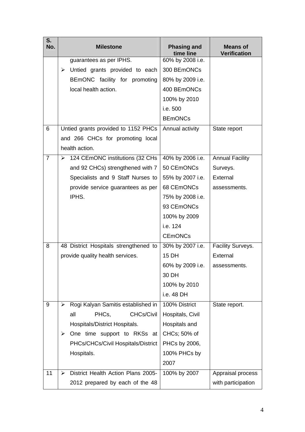| S.<br>No.      | <b>Milestone</b>                        | <b>Phasing and</b><br>time line | <b>Means of</b><br><b>Verification</b> |
|----------------|-----------------------------------------|---------------------------------|----------------------------------------|
|                | guarantees as per IPHS.                 | 60% by 2008 i.e.                |                                        |
|                | Untied grants provided to each<br>➤     | 300 BEmONCs                     |                                        |
|                | BEmONC facility for promoting           | 80% by 2009 i.e.                |                                        |
|                | local health action.                    | 400 BEmONCs                     |                                        |
|                |                                         | 100% by 2010                    |                                        |
|                |                                         | i.e. 500                        |                                        |
|                |                                         | <b>BEmONCs</b>                  |                                        |
| 6              | Untied grants provided to 1152 PHCs     | Annual activity                 | State report                           |
|                | and 266 CHCs for promoting local        |                                 |                                        |
|                | health action.                          |                                 |                                        |
| $\overline{7}$ | 124 CEmONC institutions (32 CHs<br>≻    | 40% by 2006 i.e.                | <b>Annual Facility</b>                 |
|                | and 92 CHCs) strengthened with 7        | 50 CEmONCs                      | Surveys.                               |
|                | Specialists and 9 Staff Nurses to       | 55% by 2007 i.e.                | External                               |
|                | provide service guarantees as per       | 68 CEmONCs                      | assessments.                           |
|                | IPHS.                                   | 75% by 2008 i.e.                |                                        |
|                |                                         | 93 CEmONCs                      |                                        |
|                |                                         | 100% by 2009                    |                                        |
|                |                                         | i.e. 124                        |                                        |
|                |                                         | <b>CEmONCs</b>                  |                                        |
| 8              | 48 District Hospitals strengthened to   | 30% by 2007 i.e.                | Facility Surveys.                      |
|                | provide quality health services.        | <b>15 DH</b>                    | External                               |
|                |                                         | 60% by 2009 i.e.                | assessments.                           |
|                |                                         | 30 DH                           |                                        |
|                |                                         | 100% by 2010                    |                                        |
|                |                                         | i.e. 48 DH                      |                                        |
| 9              | Rogi Kalyan Samitis established in<br>≻ | 100% District                   | State report.                          |
|                | <b>CHCs/Civil</b><br>PHCs,<br>all       | Hospitals, Civil                |                                        |
|                | Hospitals/District Hospitals.           | Hospitals and                   |                                        |
|                | One time support to RKSs at<br>➤        | CHCs; 50% of                    |                                        |
|                | PHCs/CHCs/Civil Hospitals/District      | PHCs by 2006,                   |                                        |
|                | Hospitals.                              | 100% PHCs by                    |                                        |
|                |                                         | 2007                            |                                        |
| 11             | District Health Action Plans 2005-<br>➤ | 100% by 2007                    | Appraisal process                      |
|                | 2012 prepared by each of the 48         |                                 | with participation                     |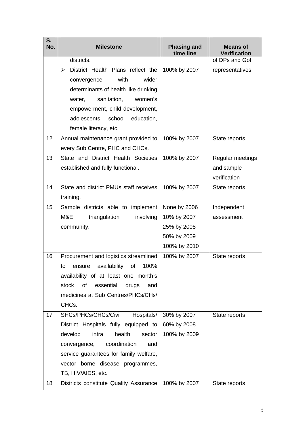| S.<br>No. | <b>Milestone</b>                       | <b>Phasing and</b><br>time line | <b>Means of</b><br><b>Verification</b> |
|-----------|----------------------------------------|---------------------------------|----------------------------------------|
|           | districts.                             |                                 | of DPs and Gol                         |
|           | District Health Plans reflect the<br>➤ | 100% by 2007                    | representatives                        |
|           | with<br>wider<br>convergence           |                                 |                                        |
|           | determinants of health like drinking   |                                 |                                        |
|           | sanitation,<br>women's<br>water,       |                                 |                                        |
|           | empowerment, child development,        |                                 |                                        |
|           | adolescents, school<br>education,      |                                 |                                        |
|           | female literacy, etc.                  |                                 |                                        |
| 12        | Annual maintenance grant provided to   | 100% by 2007                    | State reports                          |
|           | every Sub Centre, PHC and CHCs.        |                                 |                                        |
| 13        | State and District Health Societies    | 100% by 2007                    | Regular meetings                       |
|           | established and fully functional.      |                                 | and sample                             |
|           |                                        |                                 | verification                           |
| 14        | State and district PMUs staff receives | 100% by 2007                    | State reports                          |
|           | training.                              |                                 |                                        |
| 15        | Sample districts able to implement     | None by 2006                    | Independent                            |
|           | M&E<br>involving<br>triangulation      | 10% by 2007                     | assessment                             |
|           | community.                             | 25% by 2008                     |                                        |
|           |                                        | 50% by 2009                     |                                        |
|           |                                        | 100% by 2010                    |                                        |
| 16        | Procurement and logistics streamlined  | 100% by 2007                    | State reports                          |
|           | availability of 100%<br>t∩−<br>ensure  |                                 |                                        |
|           | availability of at least one month's   |                                 |                                        |
|           | stock of<br>essential<br>drugs<br>and  |                                 |                                        |
|           | medicines at Sub Centres/PHCs/CHs/     |                                 |                                        |
|           | CHCs.                                  |                                 |                                        |
| 17        | SHCs/PHCs/CHCs/Civil<br>Hospitals/     | 30% by 2007                     | State reports                          |
|           | District Hospitals fully equipped to   | 60% by 2008                     |                                        |
|           | intra<br>health<br>develop<br>sector   | 100% by 2009                    |                                        |
|           | coordination<br>convergence,<br>and    |                                 |                                        |
|           | service guarantees for family welfare, |                                 |                                        |
|           | vector borne disease programmes,       |                                 |                                        |
|           | TB, HIV/AIDS, etc.                     |                                 |                                        |
| 18        | Districts constitute Quality Assurance | 100% by 2007                    | State reports                          |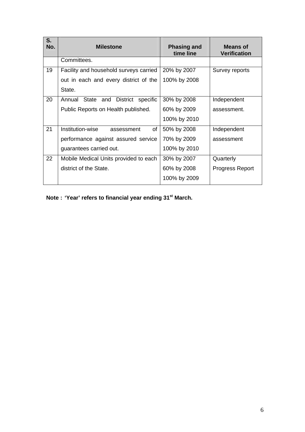| S.<br>No. | <b>Milestone</b>                                | <b>Phasing and</b><br>time line | Means of<br><b>Verification</b> |
|-----------|-------------------------------------------------|---------------------------------|---------------------------------|
|           | Committees.                                     |                                 |                                 |
| 19        | Facility and household surveys carried          | 20% by 2007                     | Survey reports                  |
|           | out in each and every district of the           | 100% by 2008                    |                                 |
|           | State.                                          |                                 |                                 |
| 20        | Annual State and<br><b>District</b><br>specific | 30% by 2008                     | Independent                     |
|           | Public Reports on Health published.             | 60% by 2009                     | assessment.                     |
|           |                                                 | 100% by 2010                    |                                 |
| 21        | Institution-wise<br>οf<br>assessment            | 50% by 2008                     | Independent                     |
|           | performance against assured service             | 70% by 2009                     | assessment                      |
|           | guarantees carried out.                         | 100% by 2010                    |                                 |
| 22        | Mobile Medical Units provided to each           | 30% by 2007                     | Quarterly                       |
|           | district of the State.                          | 60% by 2008                     | <b>Progress Report</b>          |
|           |                                                 | 100% by 2009                    |                                 |

**Note : 'Year' refers to financial year ending 31st March.**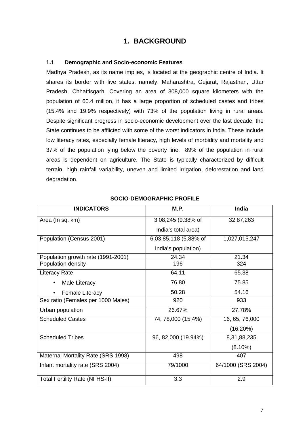# **1. BACKGROUND**

### **1.1 Demographic and Socio-economic Features**

Madhya Pradesh, as its name implies, is located at the geographic centre of India. It shares its border with five states, namely, Maharashtra, Gujarat, Rajasthan, Uttar Pradesh, Chhattisgarh, Covering an area of 308,000 square kilometers with the population of 60.4 million, it has a large proportion of scheduled castes and tribes (15.4% and 19.9% respectively) with 73% of the population living in rural areas. Despite significant progress in socio-economic development over the last decade, the State continues to be afflicted with some of the worst indicators in India. These include low literacy rates, especially female literacy, high levels of morbidity and mortality and 37% of the population lying below the poverty line. 89% of the population in rural areas is dependent on agriculture. The State is typically characterized by difficult terrain, high rainfall variability, uneven and limited irrigation, deforestation and land degradation.

| <b>INDICATORS</b>                     | M.P.                  | <b>India</b>       |
|---------------------------------------|-----------------------|--------------------|
| Area (In sq. km)                      | 3,08,245 (9.38% of    | 32,87,263          |
|                                       | India's total area)   |                    |
| Population (Census 2001)              | 6,03,85,118 (5.88% of | 1,027,015,247      |
|                                       | India's population)   |                    |
| Population growth rate (1991-2001)    | 24.34                 | 21.34              |
| Population density                    | 196                   | 324                |
| <b>Literacy Rate</b>                  | 64.11                 | 65.38              |
| Male Literacy                         | 76.80                 | 75.85              |
| <b>Female Literacy</b>                | 50.28                 | 54.16              |
| Sex ratio (Females per 1000 Males)    | 920                   | 933                |
| Urban population                      | 26.67%                | 27.78%             |
| <b>Scheduled Castes</b>               | 74, 78,000 (15.4%)    | 16, 65, 76,000     |
|                                       |                       | $(16.20\%)$        |
| <b>Scheduled Tribes</b>               | 96, 82,000 (19.94%)   | 8,31,88,235        |
|                                       |                       | $(8.10\%)$         |
| Maternal Mortality Rate (SRS 1998)    | 498                   | 407                |
| Infant mortality rate (SRS 2004)      | 79/1000               | 64/1000 (SRS 2004) |
| <b>Total Fertility Rate (NFHS-II)</b> | 3.3                   | 2.9                |

# **SOCIO-DEMOGRAPHIC PROFILE**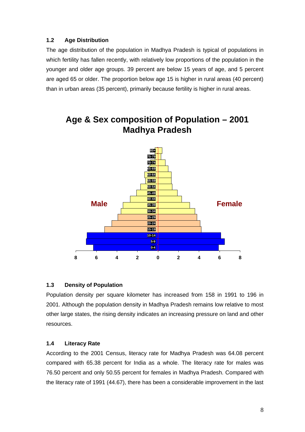# **1.2 Age Distribution**

The age distribution of the population in Madhya Pradesh is typical of populations in which fertility has fallen recently, with relatively low proportions of the population in the younger and older age groups. 39 percent are below 15 years of age, and 5 percent are aged 65 or older. The proportion below age 15 is higher in rural areas (40 percent) than in urban areas (35 percent), primarily because fertility is higher in rural areas.



# **Age & Sex composition of Population – 2001 Madhya Pradesh**

# **1.3 Density of Population**

Population density per square kilometer has increased from 158 in 1991 to 196 in 2001. Although the population density in Madhya Pradesh remains low relative to most other large states, the rising density indicates an increasing pressure on land and other resources.

# **1.4 Literacy Rate**

According to the 2001 Census, literacy rate for Madhya Pradesh was 64.08 percent compared with 65.38 percent for India as a whole. The literacy rate for males was 76.50 percent and only 50.55 percent for females in Madhya Pradesh. Compared with the literacy rate of 1991 (44.67), there has been a considerable improvement in the last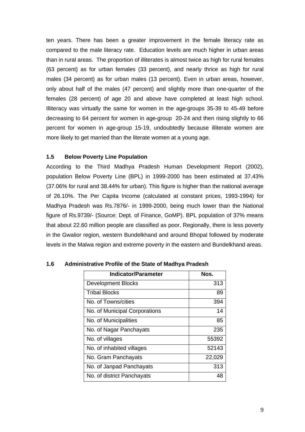ten years. There has been a greater improvement in the female literacy rate as compared to the male literacy rate. Education levels are much higher in urban areas than in rural areas. The proportion of illiterates is almost twice as high for rural females (63 percent) as for urban females (33 percent), and nearly thrice as high for rural males (34 percent) as for urban males (13 percent). Even in urban areas, however, only about half of the males (47 percent) and slightly more than one-quarter of the females (28 percent) of age 20 and above have completed at least high school. Illiteracy was virtually the same for women in the age-groups 35-39 to 45-49 before decreasing to 64 percent for women in age-group 20-24 and then rising slightly to 66 percent for women in age-group 15-19, undoubtedly because illiterate women are more likely to get married than the literate women at a young age.

# **1.5 Below Poverty Line Population**

According to the Third Madhya Pradesh Human Development Report (2002), population Below Poverty Line (BPL) in 1999-2000 has been estimated at 37.43% (37.06% for rural and 38.44% for urban). This figure is higher than the national average of 26.10%. The Per Capita Income (calculated at constant prices, 1993-1994) for Madhya Pradesh was Rs.7876/- in 1999-2000, being much lower than the National figure of Rs.9739/- (Source: Dept. of Finance, GoMP). BPL population of 37% means that about 22.60 million people are classified as poor. Regionally, there is less poverty in the Gwalior region, western Bundelkhand and around Bhopal followed by moderate levels in the Malwa region and extreme poverty in the eastern and Bundelkhand areas.

| <b>Indicator/Parameter</b>    | Nos.   |
|-------------------------------|--------|
| <b>Development Blocks</b>     | 313    |
| <b>Tribal Blocks</b>          | 89     |
| No. of Towns/cities           | 394    |
| No. of Municipal Corporations | 14     |
| No. of Municipalities         | 85     |
| No. of Nagar Panchayats       | 235    |
| No. of villages               | 55392  |
| No. of inhabited villages     | 52143  |
| No. Gram Panchayats           | 22,029 |
| No. of Janpad Panchayats      | 313    |
| No. of district Panchayats    | 48     |

# **1.6 Administrative Profile of the State of Madhya Pradesh**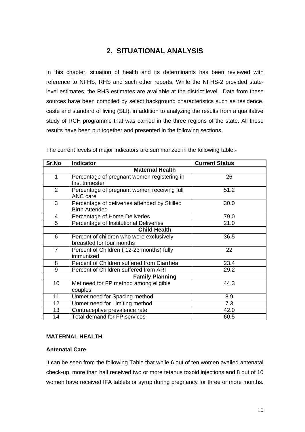# **2. SITUATIONAL ANALYSIS**

In this chapter, situation of health and its determinants has been reviewed with reference to NFHS, RHS and such other reports. While the NFHS-2 provided statelevel estimates, the RHS estimates are available at the district level. Data from these sources have been compiled by select background characteristics such as residence, caste and standard of living (SLI), in addition to analyzing the results from a qualitative study of RCH programme that was carried in the three regions of the state. All these results have been put together and presented in the following sections.

| Sr.No                  | <b>Indicator</b>                             | <b>Current Status</b> |  |  |  |  |  |
|------------------------|----------------------------------------------|-----------------------|--|--|--|--|--|
| <b>Maternal Health</b> |                                              |                       |  |  |  |  |  |
| $\mathbf{1}$           | Percentage of pregnant women registering in  | 26                    |  |  |  |  |  |
|                        | first trimester                              |                       |  |  |  |  |  |
| $\overline{2}$         | Percentage of pregnant women receiving full  | 51.2                  |  |  |  |  |  |
|                        | ANC care                                     |                       |  |  |  |  |  |
| 3                      | Percentage of deliveries attended by Skilled | 30.0                  |  |  |  |  |  |
|                        | <b>Birth Attended</b>                        |                       |  |  |  |  |  |
| 4                      | Percentage of Home Deliveries                | 79.0                  |  |  |  |  |  |
| 5                      | Percentage of Institutional Deliveries       | 21.0                  |  |  |  |  |  |
| <b>Child Health</b>    |                                              |                       |  |  |  |  |  |
| 6                      | Percent of children who were exclusively     | 36.5                  |  |  |  |  |  |
|                        | breastfed for four months                    |                       |  |  |  |  |  |
| $\overline{7}$         | Percent of Children (12-23 months) fully     | 22                    |  |  |  |  |  |
|                        | immunized                                    |                       |  |  |  |  |  |
| 8                      | Percent of Children suffered from Diarrhea   | 23.4                  |  |  |  |  |  |
| 9                      | Percent of Children suffered from ARI        | 29.2                  |  |  |  |  |  |
|                        | <b>Family Planning</b>                       |                       |  |  |  |  |  |
| 10 <sup>1</sup>        | Met need for FP method among eligible        | 44.3                  |  |  |  |  |  |
|                        | couples                                      |                       |  |  |  |  |  |
| 11                     | Unmet need for Spacing method                | 8.9                   |  |  |  |  |  |
| 12 <sub>2</sub>        | Unmet need for Limiting method               | 7.3                   |  |  |  |  |  |
| 13                     | Contraceptive prevalence rate                | 42.0                  |  |  |  |  |  |
| 14                     | Total demand for FP services                 | 60.5                  |  |  |  |  |  |

The current levels of major indicators are summarized in the following table:-

# **MATERNAL HEALTH**

# **Antenatal Care**

It can be seen from the following Table that while 6 out of ten women availed antenatal check-up, more than half received two or more tetanus toxoid injections and 8 out of 10 women have received IFA tablets or syrup during pregnancy for three or more months.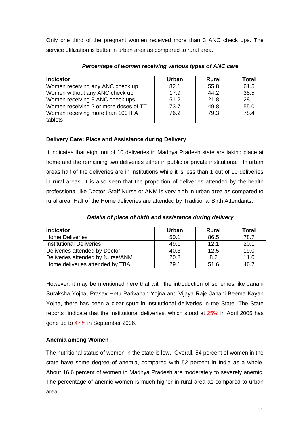Only one third of the pregnant women received more than 3 ANC check ups. The service utilization is better in urban area as compared to rural area.

| <b>Indicator</b>                      | <b>Urban</b> | <b>Rural</b> | Total |
|---------------------------------------|--------------|--------------|-------|
| Women receiving any ANC check up      | 82.1         | 55.8         | 61.5  |
| Women without any ANC check up        | 17.9         | 44.2         | 38.5  |
| Women receiving 3 ANC check ups       | 51.2         | 21.8         | 28.1  |
| Women receiving 2 or more doses of TT | 73.7         | 49.8         | 55.0  |
| Women receiving more than 100 IFA     | 76.2         | 79.3         | 78.4  |
| tablets                               |              |              |       |

### *Percentage of women receiving various types of ANC care*

# **Delivery Care: Place and Assistance during Delivery**

It indicates that eight out of 10 deliveries in Madhya Pradesh state are taking place at home and the remaining two deliveries either in public or private institutions. In urban areas half of the deliveries are in institutions while it is less than 1 out of 10 deliveries in rural areas. It is also seen that the proportion of deliveries attended by the health professional like Doctor, Staff Nurse or ANM is very high in urban area as compared to rural area. Half of the Home deliveries are attended by Traditional Birth Attendants.

| <b>Indicator</b>                 | Urban | <b>Rural</b> | Total |
|----------------------------------|-------|--------------|-------|
| <b>Home Deliveries</b>           | 50.1  | 86.5         | 78.7  |
| <b>Institutional Deliveries</b>  | 49.1  | 12.1         | 20.1  |
| Deliveries attended by Doctor    | 40.3  | 12.5         | 19.0  |
| Deliveries attended by Nurse/ANM | 20.8  | 8.2          | 11.0  |
| Home deliveries attended by TBA  | 29.1  | 51.6         | 46.7  |

 *Details of place of birth and assistance during delivery*

However, it may be mentioned here that with the introduction of schemes like Janani Suraksha Yojna, Prasav Hetu Parivahan Yojna and Vijaya Raje Janani Beema Kayan Yojna, there has been a clear spurt in institutional deliveries in the State. The State reports indicate that the institutional deliveries, which stood at 25% in April 2005 has gone up to 47% in September 2006.

# **Anemia among Women**

The nutritional status of women in the state is low. Overall, 54 percent of women in the state have some degree of anemia, compared with 52 percent in India as a whole. About 16.6 percent of women in Madhya Pradesh are moderately to severely anemic. The percentage of anemic women is much higher in rural area as compared to urban area.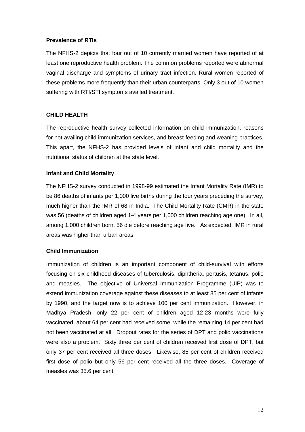### **Prevalence of RTIs**

The NFHS-2 depicts that four out of 10 currently married women have reported of at least one reproductive health problem. The common problems reported were abnormal vaginal discharge and symptoms of urinary tract infection. Rural women reported of these problems more frequently than their urban counterparts. Only 3 out of 10 women suffering with RTI/STI symptoms availed treatment.

# **CHILD HEALTH**

The reproductive health survey collected information on child immunization, reasons for not availing child immunization services, and breast-feeding and weaning practices. This apart, the NFHS-2 has provided levels of infant and child mortality and the nutritional status of children at the state level.

# **Infant and Child Mortality**

The NFHS-2 survey conducted in 1998-99 estimated the Infant Mortality Rate (IMR) to be 86 deaths of infants per 1,000 live births during the four years preceding the survey, much higher than the IMR of 68 in India. The Child Mortality Rate (CMR) in the state was 56 (deaths of children aged 1-4 years per 1,000 children reaching age one). In all, among 1,000 children born, 56 die before reaching age five. As expected, IMR in rural areas was higher than urban areas.

# **Child Immunization**

Immunization of children is an important component of child-survival with efforts focusing on six childhood diseases of tuberculosis, diphtheria, pertusis, tetanus, polio and measles. The objective of Universal Immunization Programme (UIP) was to extend immunization coverage against these diseases to at least 85 per cent of infants by 1990, and the target now is to achieve 100 per cent immunization. However, in Madhya Pradesh, only 22 per cent of children aged 12-23 months were fully vaccinated; about 64 per cent had received some, while the remaining 14 per cent had not been vaccinated at all. Dropout rates for the series of DPT and polio vaccinations were also a problem. Sixty three per cent of children received first dose of DPT, but only 37 per cent received all three doses. Likewise, 85 per cent of children received first dose of polio but only 56 per cent received all the three doses. Coverage of measles was 35.6 per cent.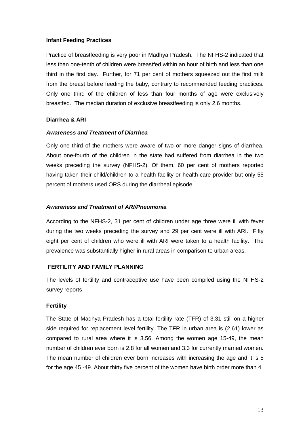#### **Infant Feeding Practices**

Practice of breastfeeding is very poor in Madhya Pradesh. The NFHS-2 indicated that less than one-tenth of children were breastfed within an hour of birth and less than one third in the first day. Further, for 71 per cent of mothers squeezed out the first milk from the breast before feeding the baby, contrary to recommended feeding practices. Only one third of the children of less than four months of age were exclusively breastfed. The median duration of exclusive breastfeeding is only 2.6 months.

#### **Diarrhea & ARI**

#### *Awareness and Treatment of Diarrhea*

Only one third of the mothers were aware of two or more danger signs of diarrhea. About one-fourth of the children in the state had suffered from diarrhea in the two weeks preceding the survey (NFHS-2). Of them, 60 per cent of mothers reported having taken their child/children to a health facility or health-care provider but only 55 percent of mothers used ORS during the diarrheal episode.

#### *Awareness and Treatment of ARI/Pneumonia*

According to the NFHS-2, 31 per cent of children under age three were ill with fever during the two weeks preceding the survey and 29 per cent were ill with ARI. Fifty eight per cent of children who were ill with ARI were taken to a health facility. The prevalence was substantially higher in rural areas in comparison to urban areas.

# **FERTILITY AND FAMILY PLANNING**

The levels of fertility and contraceptive use have been compiled using the NFHS-2 survey reports

# **Fertility**

The State of Madhya Pradesh has a total fertility rate (TFR) of 3.31 still on a higher side required for replacement level fertility. The TFR in urban area is (2.61) lower as compared to rural area where it is 3.56. Among the women age 15-49, the mean number of children ever born is 2.8 for all women and 3.3 for currently married women. The mean number of children ever born increases with increasing the age and it is 5 for the age 45 -49. About thirty five percent of the women have birth order more than 4.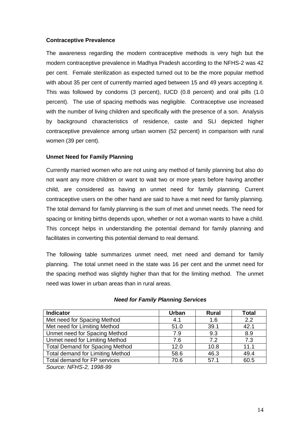# **Contraceptive Prevalence**

The awareness regarding the modern contraceptive methods is very high but the modern contraceptive prevalence in Madhya Pradesh according to the NFHS-2 was 42 per cent. Female sterilization as expected turned out to be the more popular method with about 35 per cent of currently married aged between 15 and 49 years accepting it. This was followed by condoms (3 percent), IUCD (0.8 percent) and oral pills (1.0 percent). The use of spacing methods was negligible. Contraceptive use increased with the number of living children and specifically with the presence of a son. Analysis by background characteristics of residence, caste and SLI depicted higher contraceptive prevalence among urban women (52 percent) in comparison with rural women (39 per cent).

# **Unmet Need for Family Planning**

Currently married women who are not using any method of family planning but also do not want any more children or want to wait two or more years before having another child, are considered as having an unmet need for family planning. Current contraceptive users on the other hand are said to have a met need for family planning. The total demand for family planning is the sum of met and unmet needs. The need for spacing or limiting births depends upon, whether or not a woman wants to have a child. This concept helps in understanding the potential demand for family planning and facilitates in converting this potential demand to real demand.

The following table summarizes unmet need, met need and demand for family planning. The total unmet need in the state was 16 per cent and the unmet need for the spacing method was slightly higher than that for the limiting method. The unmet need was lower in urban areas than in rural areas.

| <b>Indicator</b>                                                                                                                                                                                                                                                                                                         | <b>Urban</b> | <b>Rural</b> | <b>Total</b> |
|--------------------------------------------------------------------------------------------------------------------------------------------------------------------------------------------------------------------------------------------------------------------------------------------------------------------------|--------------|--------------|--------------|
| Met need for Spacing Method                                                                                                                                                                                                                                                                                              | 4.1          | 1.6          | 2.2          |
| Met need for Limiting Method                                                                                                                                                                                                                                                                                             | 51.0         | 39.1         | 42.1         |
| Unmet need for Spacing Method                                                                                                                                                                                                                                                                                            | 7.9          | 9.3          | 8.9          |
| Unmet need for Limiting Method                                                                                                                                                                                                                                                                                           | 7.6          | 7.2          | 7.3          |
| <b>Total Demand for Spacing Method</b>                                                                                                                                                                                                                                                                                   | 12.0         | 10.8         | 11.1         |
| <b>Total demand for Limiting Method</b>                                                                                                                                                                                                                                                                                  | 58.6         | 46.3         | 49.4         |
| Total demand for FP services                                                                                                                                                                                                                                                                                             | 70.6         | 57.1         | 60.5         |
| $\sim$ $\frac{1}{2}$ $\frac{1}{2}$ $\frac{1}{2}$ $\frac{1}{2}$ $\frac{1}{2}$ $\frac{1}{2}$ $\frac{1}{2}$ $\frac{1}{2}$ $\frac{1}{2}$ $\frac{1}{2}$ $\frac{1}{2}$ $\frac{1}{2}$ $\frac{1}{2}$ $\frac{1}{2}$ $\frac{1}{2}$ $\frac{1}{2}$ $\frac{1}{2}$ $\frac{1}{2}$ $\frac{1}{2}$ $\frac{1}{2}$ $\frac{1}{2}$ $\frac{1}{$ |              |              |              |

#### *Need for Family Planning Services*

*Source: NFHS-2, 1998-99*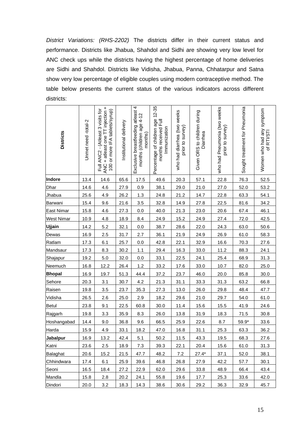*District Variations: (RHS-2202)* The districts differ in their current status and performance. Districts like Jhabua, Shahdol and Sidhi are showing very low level for ANC check ups while the districts having the highest percentage of home deliveries are Sidhi and Shahdol. Districts like Vidisha, Jhabua, Panna, Chhatarpur and Satna show very low percentage of eligible couples using modern contraceptive method. The table below presents the current status of the various indicators across different districts:

| <b>Districts</b>  | Unmet need-total-2 | ANC + atleast one TT injection +<br>Full ANC2 - (Atleast 3 visits for<br>or more IFA tablets/syrup)<br>100 | Institutional delivery | Exclusive breastfeeding atleast 4<br>months (children age 4-12<br>months) | Percentage of children age 12-35<br>months received Full<br>Immunization | who had diarrhea (two weeks<br>prior to survey) | Given ORS to children during<br>Diarrhea | who had Pneumonia (two weeks<br>prior to survey) | Sought treatment for Pneumonia | Women who had any symptom<br>of RTI/STI |
|-------------------|--------------------|------------------------------------------------------------------------------------------------------------|------------------------|---------------------------------------------------------------------------|--------------------------------------------------------------------------|-------------------------------------------------|------------------------------------------|--------------------------------------------------|--------------------------------|-----------------------------------------|
| Indore            | 13.4               | 14.6                                                                                                       | 65.6                   | 17.5                                                                      | 49.6                                                                     | 20.3                                            | 57.1                                     | 22.8                                             | 76.3                           | 52.5                                    |
| <b>Dhar</b>       | 14.6               | 4.6                                                                                                        | 27.9                   | 0.9                                                                       | 38.1                                                                     | 29.0                                            | 21.0                                     | 27.0                                             | 52.0                           | 53.2                                    |
| <b>Jhabua</b>     | 25.6               | 4.9                                                                                                        | 26.2                   | 1.3                                                                       | 24.8                                                                     | 21.2                                            | 14.7                                     | 22.8                                             | 63.3                           | 54.1                                    |
| Barwani           | 15.4               | 9.6                                                                                                        | 21.6                   | 3.5                                                                       | 32.8                                                                     | 14.9                                            | 27.8                                     | 22.5                                             | 81.6                           | 34.2                                    |
| <b>East Nimar</b> | 15.8               | 4.6                                                                                                        | 27.3                   | 0.0                                                                       | 40.0                                                                     | 21.3                                            | 23.0                                     | 20.6                                             | 67.4                           | 46.1                                    |
| <b>West Nimar</b> | 10.9               | 4.8                                                                                                        | 18.9                   | 8.4                                                                       | 24.9                                                                     | 15.2                                            | 24.9                                     | 27.4                                             | 72.0                           | 42.5                                    |
| Ujjain            | 14.2               | 5.2                                                                                                        | 32.1                   | 0.0                                                                       | 38.7                                                                     | 28.6                                            | 22.0                                     | 24.3                                             | 63.0                           | 50.6                                    |
| Dewas             | 16.9               | 2.5                                                                                                        | 31.7                   | 2.7                                                                       | 36.1                                                                     | 21.9                                            | 24.9                                     | 26.9                                             | 61.0                           | 58.3                                    |
| Ratlam            | 17.3               | 6.1                                                                                                        | 25.7                   | 0.0                                                                       | 42.8                                                                     | 22.1                                            | 32.9                                     | 16.6                                             | 70.3                           | 27.6                                    |
| Mandsaur          | 17.3               | 8.3                                                                                                        | 30.2                   | 1.1                                                                       | 29.4                                                                     | 16.3                                            | 33.0                                     | 11.2                                             | 88.3                           | 24.1                                    |
| Shajapur          | 19.2               | $5.0$                                                                                                      | 32.0                   | 0.0                                                                       | 33.1                                                                     | 22.5                                            | 24.1                                     | 25.4                                             | 68.9                           | 31.3                                    |
| Neemuch           | 16.8               | 12.2                                                                                                       | 26.4                   | 1.2                                                                       | 33.2                                                                     | 17.6                                            | 33.0                                     | 10.7                                             | 82.0                           | 25.0                                    |
| <b>Bhopal</b>     | 16.9               | 19.7                                                                                                       | 51.3                   | 44.4                                                                      | 37.2                                                                     | 23.7                                            | 46.0                                     | 20.0                                             | 85.8                           | 30.0                                    |
| Sehore            | 20.3               | 3.1                                                                                                        | 30.7                   | 4.2                                                                       | 21.3                                                                     | 31.1                                            | 33.3                                     | 31.3                                             | 63.2                           | 66.8                                    |
| Raisen            | 19.8               | 3.5                                                                                                        | 23.7                   | 35.3                                                                      | 27.3                                                                     | 13.0                                            | 26.0                                     | 29.8                                             | 48.4                           | 47.7                                    |
| Vidisha           | 26.5               | 2.6                                                                                                        | 25.0                   | 2.9                                                                       | 18.2                                                                     | 29.6                                            | 21.0                                     | 29.7                                             | 54.0                           | 61.0                                    |
| <b>Betul</b>      | 23.8               | 9.1                                                                                                        | 22.5                   | 60.8                                                                      | 30.0                                                                     | 11.4                                            | 15.6                                     | 15.5                                             | 41.9                           | 24.6                                    |
| Rajgarh           | 19.8               | 3.3                                                                                                        | 35.9                   | 8.3                                                                       | 26.0                                                                     | 13.8                                            | 31.9                                     | 18.3                                             | 71.5                           | 30.8                                    |
| Hoshangabad       | 14.4               | 9.0                                                                                                        | 36.8                   | 9.6                                                                       | 66.5                                                                     | 25.9                                            | 22.6                                     | 8.7                                              | 59.9*                          | 33.6                                    |
| Harda             | 15.9               | 4.9                                                                                                        | 33.1                   | 18.2                                                                      | 47.0                                                                     | 16.8                                            | 31.1                                     | 25.3                                             | 63.3                           | 36.2                                    |
| Jabalpur          | 16.9               | 13.2                                                                                                       | 42.4                   | 5.1                                                                       | 50.2                                                                     | 11.5                                            | 43.3                                     | 19.5                                             | 68.3                           | 27.6                                    |
| Katni             | 23.6               | 2.5                                                                                                        | 18.9                   | 7.3                                                                       | 39.3                                                                     | 22.1                                            | 20.4                                     | 15.6                                             | 61.0                           | 31.3                                    |
| Balaghat          | 20.6               | 15.2                                                                                                       | 21.5                   | 47.7                                                                      | 48.2                                                                     | 7.2                                             | $27.4*$                                  | 37.1                                             | 52.0                           | 38.1                                    |
| Chhindwara        | 17.4               | 6.1                                                                                                        | 25.9                   | 39.6                                                                      | 46.8                                                                     | 26.8                                            | 27.9                                     | 42.2                                             | 57.7                           | 30.1                                    |
| Seoni             | 16.5               | 18.4                                                                                                       | 27.2                   | 22.9                                                                      | 62.0                                                                     | 29.6                                            | 33.8                                     | 48.9                                             | 66.4                           | 43.4                                    |
| Mandla            | 15.8               | 2.8                                                                                                        | 20.2                   | 24.1                                                                      | 55.8                                                                     | 19.6                                            | 17.7                                     | 25.3                                             | 33.6                           | 42.0                                    |
| Dindori           | 20.0               | 3.2                                                                                                        | 18.3                   | 14.3                                                                      | 38.6                                                                     | 30.6                                            | 29.2                                     | 36.3                                             | 32.9                           | 45.7                                    |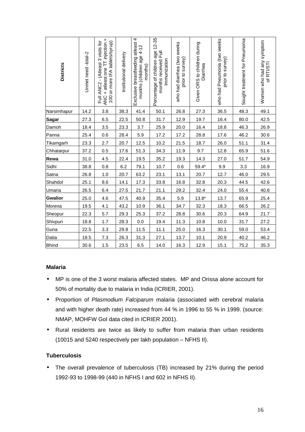| <b>Districts</b> | Unmet need-total-2 | ANC + atleast one TT injection +<br>Full ANC2 - (Atleast 3 visits for<br>100 or more IFA tablets/syrup) | Institutional delivery | Exclusive breastfeeding atleast 4<br>months (children age 4-12<br>months) | Percentage of children age 12-35<br>months received Full<br>Immunization | who had diarrhea (two weeks<br>prior to survey) | Given ORS to children during<br>Diarrhea | who had Pneumonia (two weeks<br>prior to survey) | Sought treatment for Pneumonia | Women who had any symptom<br>of RTI/STI |
|------------------|--------------------|---------------------------------------------------------------------------------------------------------|------------------------|---------------------------------------------------------------------------|--------------------------------------------------------------------------|-------------------------------------------------|------------------------------------------|--------------------------------------------------|--------------------------------|-----------------------------------------|
| Narsimhapur      | 14.2               | 3.8                                                                                                     | 38.3                   | 41.4                                                                      | 50.1                                                                     | 26.8                                            | 27.3                                     | 36.5                                             | 48.3                           | 49.1                                    |
| Sag <u>ar</u>    | 27.3               | 6.5                                                                                                     | 22.5                   | 50.8                                                                      | 31.7                                                                     | 12.9                                            | 19.7                                     | 16.4                                             | 80.0                           | 42.5                                    |
| Damoh            | 18.4               | 3.5                                                                                                     | 23.3                   | 3.7                                                                       | 25.9                                                                     | 20.0                                            | 16.4                                     | 18.8                                             | 46.3                           | 26.9                                    |
| Panna            | 25.4               | 0.6                                                                                                     | 28.4                   | 5.9                                                                       | 17.2                                                                     | 17.2                                            | 28.8                                     | 17.6                                             | 46.2                           | 30.6                                    |
| Tikamgarh        | 23.3               | 2.7                                                                                                     | 20.7                   | 12.5                                                                      | 10.2                                                                     | 21.5                                            | 18.7                                     | 26.0                                             | 51.1                           | 31.4                                    |
| Chhatarpur       | 37.2               | 0.5                                                                                                     | 17.6                   | 51.3                                                                      | 34.3                                                                     | 11.9                                            | 9.7                                      | 12.8                                             | 65.9                           | 51.6                                    |
| Rewa             | 31.0               | 4.5                                                                                                     | 22.4                   | 19.5                                                                      | 35.2                                                                     | 19.3                                            | 14.3                                     | 27.0                                             | 51.7                           | 54.9                                    |
| Sidhi            | 38.8               | 0.8                                                                                                     | 6.2                    | 79.1                                                                      | 10.7                                                                     | 0.6                                             | $59.4*$                                  | 9.9                                              | 3.3                            | 16.9                                    |
| Satna            | 26.8               | 1.0                                                                                                     | 20.7                   | 63.2                                                                      | 23.1                                                                     | 13.1                                            | 20.7                                     | 12.7                                             | 46.0                           | 29.5                                    |
| Shahdol          | 25.1               | 8.6                                                                                                     | 14.1                   | 17.3                                                                      | 33.8                                                                     | 16.8                                            | 32.8                                     | 20.3                                             | 44.5                           | 42.6                                    |
| Umaria           | 26.5               | 6.4                                                                                                     | 27.5                   | 21.7                                                                      | 21.1                                                                     | 29.2                                            | 32.4                                     | 24.0                                             | 55.4                           | 40.8                                    |
| <b>Gwalior</b>   | 25.0               | 4.6                                                                                                     | 47.5                   | 40.9                                                                      | 35.4                                                                     | 5.9                                             | $13.8*$                                  | 13.7                                             | 65.9                           | 25.4                                    |
| Morena           | 19.5               | 4.1                                                                                                     | 43.2                   | 10.9                                                                      | 36.1                                                                     | 34.7                                            | 32.3                                     | 18.3                                             | 66.5                           | 26.2                                    |
| Sheopur          | 22.3               | 5.7                                                                                                     | 29.3                   | 25.3                                                                      | 37.2                                                                     | 28.8                                            | 30.6                                     | 20.3                                             | 64.9                           | 21.7                                    |
| Shivpuri         | 18.8               | 1.7                                                                                                     | 28.3                   | 0.0                                                                       | 19.4                                                                     | 11.3                                            | 10.8                                     | 10.0                                             | 31.7                           | 27.2                                    |
| Guna             | 22.5               | 3.3                                                                                                     | 29.8                   | 11.5                                                                      | 11.1                                                                     | 25.0                                            | 16.3                                     | 30.1                                             | 59.0                           | 53.4                                    |
| Datia            | 18.5               | 7.3                                                                                                     | 26.3                   | 31.3                                                                      | 27.1                                                                     | 13.7                                            | 10.1                                     | 20.9                                             | 40.2                           | 46.2                                    |
| <b>Bhind</b>     | 30.6               | 1.5                                                                                                     | 23.5                   | 6.5                                                                       | 14.0                                                                     | 16.3                                            | 12.9                                     | 15.1                                             | 75.2                           | 35.3                                    |

# **Malaria**

- MP is one of the 3 worst malaria affected states. MP and Orissa alone account for 50% of mortality due to malaria in India (ICRIER, 2001).
- Proportion of *Plasmodium Falciparum* malaria (associated with cerebral malaria and with higher death rate) increased from 44 % in 1996 to 55 % in 1999. (source: NMAP, MOHFW GoI data cited in ICRIER 2001).
- Rural residents are twice as likely to suffer from malaria than urban residents (10015 and 5240 respectively per lakh population – NFHS II).

# **Tuberculosis**

• The overall prevalence of tuberculosis (TB) increased by 21% during the period 1992-93 to 1998-99 (440 in NFHS I and 602 in NFHS II).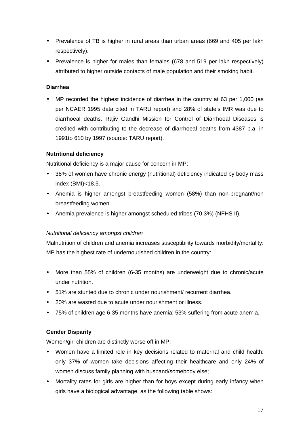- Prevalence of TB is higher in rural areas than urban areas (669 and 405 per lakh respectively).
- Prevalence is higher for males than females (678 and 519 per lakh respectively) attributed to higher outside contacts of male population and their smoking habit.

# **Diarrhea**

• MP recorded the highest incidence of diarrhea in the country at 63 per 1,000 (as per NCAER 1995 data cited in TARU report) and 28% of state's IMR was due to diarrhoeal deaths. Rajiv Gandhi Mission for Control of Diarrhoeal Diseases is credited with contributing to the decrease of diarrhoeal deaths from 4387 p.a. in 1991to 610 by 1997 (source: TARU report).

# **Nutritional deficiency**

Nutritional deficiency is a major cause for concern in MP:

- 38% of women have chronic energy (nutritional) deficiency indicated by body mass index (BMI)<18.5.
- Anemia is higher amongst breastfeeding women (58%) than non-pregnant/non breastfeeding women.
- Anemia prevalence is higher amongst scheduled tribes (70.3%) (NFHS II).

# *Nutritional deficiency amongst children*

Malnutrition of children and anemia increases susceptibility towards morbidity/mortality: MP has the highest rate of undernourished children in the country:

- More than 55% of children (6-35 months) are underweight due to chronic/acute under nutrition.
- 51% are stunted due to chronic under nourishment/ recurrent diarrhea.
- 20% are wasted due to acute under nourishment or illness.
- 75% of children age 6-35 months have anemia; 53% suffering from acute anemia.

# **Gender Disparity**

Women/girl children are distinctly worse off in MP:

- Women have a limited role in key decisions related to maternal and child health: only 37% of women take decisions affecting their healthcare and only 24% of women discuss family planning with husband/somebody else;
- Mortality rates for girls are higher than for boys except during early infancy when girls have a biological advantage, as the following table shows: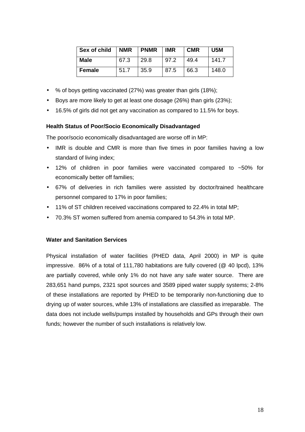| Sex of child  | <b>NMR</b> | <b>PNMR</b> | <b>IMR</b> | <b>CMR</b> | U5M   |
|---------------|------------|-------------|------------|------------|-------|
| <b>Male</b>   | 67.3       | 29.8        | 97.2       | 49.4       | 141.7 |
| <b>Female</b> | 51.7       | 35.9        | 87.5       | 66.3       | 148.0 |

- % of boys getting vaccinated (27%) was greater than girls (18%);
- Boys are more likely to get at least one dosage (26%) than girls (23%);
- 16.5% of girls did not get any vaccination as compared to 11.5% for boys.

# **Health Status of Poor/Socio Economically Disadvantaged**

The poor/socio economically disadvantaged are worse off in MP:

- IMR is double and CMR is more than five times in poor families having a low standard of living index;
- 12% of children in poor families were vaccinated compared to ~50% for economically better off families;
- 67% of deliveries in rich families were assisted by doctor/trained healthcare personnel compared to 17% in poor families;
- 11% of ST children received vaccinations compared to 22.4% in total MP;
- 70.3% ST women suffered from anemia compared to 54.3% in total MP.

# **Water and Sanitation Services**

Physical installation of water facilities (PHED data, April 2000) in MP is quite impressive. 86% of a total of 111,780 habitations are fully covered (@ 40 lpcd), 13% are partially covered, while only 1% do not have any safe water source. There are 283,651 hand pumps, 2321 spot sources and 3589 piped water supply systems; 2-8% of these installations are reported by PHED to be temporarily non-functioning due to drying up of water sources, while 13% of installations are classified as irreparable. The data does not include wells/pumps installed by households and GPs through their own funds; however the number of such installations is relatively low.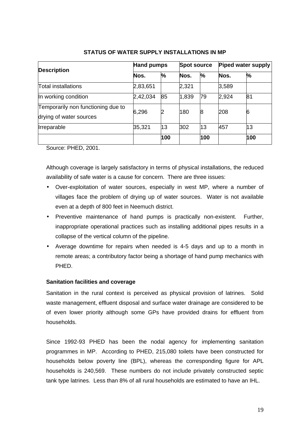|                                                               | Hand pumps |     | <b>Spot source</b> |      | Piped water supply |      |
|---------------------------------------------------------------|------------|-----|--------------------|------|--------------------|------|
| <b>Description</b>                                            | Nos.       | %   | Nos.               | $\%$ | Nos.               | $\%$ |
| <b>Total installations</b>                                    | 2,83,651   |     | 2,321              |      | 3,589              |      |
| In working condition                                          | 2,42,034   | 85  | 1,839              | 79   | 2,924              | 81   |
| Temporarily non functioning due to<br>drying of water sources | 6,296      | 2   | 180                | 8    | 208                | 6    |
| Irreparable                                                   | 35,321     | 13  | 302                | 13   | 457                | 13   |
|                                                               |            | 100 |                    | 100  |                    | 100  |

# **STATUS OF WATER SUPPLY INSTALLATIONS IN MP**

Source: PHED, 2001.

Although coverage is largely satisfactory in terms of physical installations, the reduced availability of safe water is a cause for concern. There are three issues:

- Over-exploitation of water sources, especially in west MP, where a number of villages face the problem of drying up of water sources. Water is not available even at a depth of 800 feet in Neemuch district.
- Preventive maintenance of hand pumps is practically non-existent. Further, inappropriate operational practices such as installing additional pipes results in a collapse of the vertical column of the pipeline.
- Average downtime for repairs when needed is 4-5 days and up to a month in remote areas; a contributory factor being a shortage of hand pump mechanics with PHED.

# **Sanitation facilities and coverage**

Sanitation in the rural context is perceived as physical provision of latrines. Solid waste management, effluent disposal and surface water drainage are considered to be of even lower priority although some GPs have provided drains for effluent from households.

Since 1992-93 PHED has been the nodal agency for implementing sanitation programmes in MP. According to PHED, 215,080 toilets have been constructed for households below poverty line (BPL), whereas the corresponding figure for APL households is 240,569. These numbers do not include privately constructed septic tank type latrines. Less than 8% of all rural households are estimated to have an IHL.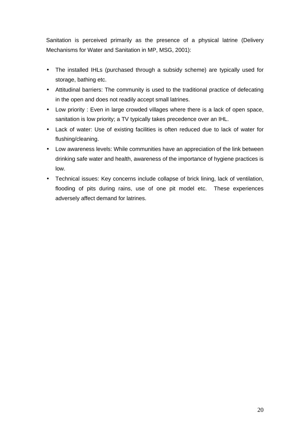Sanitation is perceived primarily as the presence of a physical latrine (Delivery Mechanisms for Water and Sanitation in MP, MSG, 2001):

- The installed IHLs (purchased through a subsidy scheme) are typically used for storage, bathing etc.
- Attitudinal barriers: The community is used to the traditional practice of defecating in the open and does not readily accept small latrines.
- Low priority : Even in large crowded villages where there is a lack of open space, sanitation is low priority; a TV typically takes precedence over an IHL.
- Lack of water: Use of existing facilities is often reduced due to lack of water for flushing/cleaning.
- Low awareness levels: While communities have an appreciation of the link between drinking safe water and health, awareness of the importance of hygiene practices is low.
- Technical issues: Key concerns include collapse of brick lining, lack of ventilation, flooding of pits during rains, use of one pit model etc. These experiences adversely affect demand for latrines.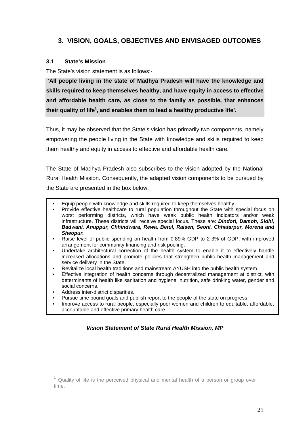# **3. VISION, GOALS, OBJECTIVES AND ENVISAGED OUTCOMES**

# **3.1 State's Mission**

The State's vision statement is as follows:-

**'All people living in the state of Madhya Pradesh will have the knowledge and skills required to keep themselves healthy, and have equity in access to effective and affordable health care, as close to the family as possible, that enhances their quality of life<sup>1</sup> , and enables them to lead a healthy productive life'.**

Thus, it may be observed that the State's vision has primarily two components, namely empowering the people living in the State with knowledge and skills required to keep them healthy and equity in access to effective and affordable health care.

The State of Madhya Pradesh also subscribes to the vision adopted by the National Rural Health Mission. Consequently, the adapted vision components to be pursued by the State are presented in the box below:

- Equip people with knowledge and skills required to keep themselves healthy.
- Provide effective healthcare to rural population throughout the State with special focus on worst performing districts, which have weak public health indicators and/or weak infrastructure. These districts will receive special focus. These are: *Dindori, Damoh, Sidhi, Badwani, Anuppur, Chhindwara, Rewa, Betul, Raisen, Seoni, Chhatarpur, Morena and Sheopur.*
- Raise level of public spending on health from 0.89% GDP to 2-3% of GDP, with improved arrangement for community financing and risk pooling.
- Undertake architectural correction of the health system to enable it to effectively handle increased allocations and promote policies that strengthen public health management and service delivery in the State.
- Revitalize local health traditions and mainstream AYUSH into the public health system.
- Effective integration of health concerns through decentralized management at district, with determinants of health like sanitation and hygiene, nutrition, safe drinking water, gender and social concerns.
- Address inter-district disparities.

 $\overline{a}$ 

- Pursue time bound goals and publish report to the people of the state on progress.
- Improve access to rural people, especially poor women and children to equitable, affordable, accountable and effective primary health care.

# *Vision Statement of State Rural Health Mission, MP*

<sup>&</sup>lt;sup>1</sup> Quality of life is the perceived physical and mental health of a person or group over time.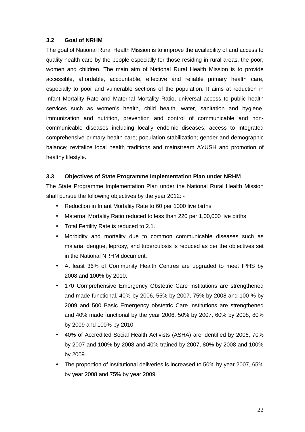# **3.2 Goal of NRHM**

The goal of National Rural Health Mission is to improve the availability of and access to quality health care by the people especially for those residing in rural areas, the poor, women and children. The main aim of National Rural Health Mission is to provide accessible, affordable, accountable, effective and reliable primary health care, especially to poor and vulnerable sections of the population. It aims at reduction in Infant Mortality Rate and Maternal Mortality Ratio, universal access to public health services such as women's health, child health, water, sanitation and hygiene, immunization and nutrition, prevention and control of communicable and noncommunicable diseases including locally endemic diseases; access to integrated comprehensive primary health care; population stabilization; gender and demographic balance; revitalize local health traditions and mainstream AYUSH and promotion of healthy lifestyle.

# **3.3 Objectives of State Programme Implementation Plan under NRHM**

The State Programme Implementation Plan under the National Rural Health Mission shall pursue the following objectives by the year 2012: -

- Reduction in Infant Mortality Rate to 60 per 1000 live births
- Maternal Mortality Ratio reduced to less than 220 per 1,00,000 live births
- Total Fertility Rate is reduced to 2.1.
- Morbidity and mortality due to common communicable diseases such as malaria, dengue, leprosy, and tuberculosis is reduced as per the objectives set in the National NRHM document.
- At least 36% of Community Health Centres are upgraded to meet IPHS by 2008 and 100% by 2010.
- 170 Comprehensive Emergency Obstetric Care institutions are strengthened and made functional, 40% by 2006, 55% by 2007, 75% by 2008 and 100 % by 2009 and 500 Basic Emergency obstetric Care institutions are strengthened and 40% made functional by the year 2006, 50% by 2007, 60% by 2008, 80% by 2009 and 100% by 2010.
- 40% of Accredited Social Health Activists (ASHA) are identified by 2006, 70% by 2007 and 100% by 2008 and 40% trained by 2007, 80% by 2008 and 100% by 2009.
- The proportion of institutional deliveries is increased to 50% by year 2007, 65% by year 2008 and 75% by year 2009.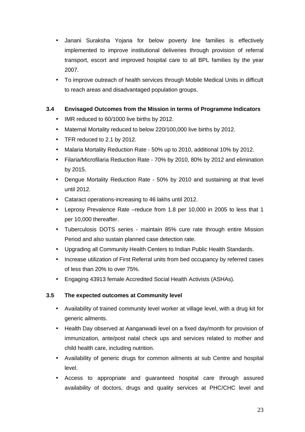- Janani Suraksha Yojana for below poverty line families is effectively implemented to improve institutional deliveries through provision of referral transport, escort and improved hospital care to all BPL families by the year 2007.
- To improve outreach of health services through Mobile Medical Units in difficult to reach areas and disadvantaged population groups.

# **3.4 Envisaged Outcomes from the Mission in terms of Programme Indicators**

- IMR reduced to 60/1000 live births by 2012.
- Maternal Mortality reduced to below 220/100,000 live births by 2012.
- TFR reduced to 2.1 by 2012.
- Malaria Mortality Reduction Rate 50% up to 2010, additional 10% by 2012.
- Filaria/Microfilaria Reduction Rate 70% by 2010, 80% by 2012 and elimination by 2015.
- Dengue Mortality Reduction Rate 50% by 2010 and sustaining at that level until 2012.
- Cataract operations-increasing to 46 lakhs until 2012.
- Leprosy Prevalence Rate –reduce from 1.8 per 10,000 in 2005 to less that 1 per 10,000 thereafter.
- Tuberculosis DOTS series maintain 85% cure rate through entire Mission Period and also sustain planned case detection rate.
- Upgrading all Community Health Centers to Indian Public Health Standards.
- Increase utilization of First Referral units from bed occupancy by referred cases of less than 20% to over 75%.
- Engaging 43913 female Accredited Social Health Activists (ASHAs).

# **3.5 The expected outcomes at Community level**

- Availability of trained community level worker at village level, with a drug kit for generic ailments.
- Health Day observed at Aanganwadi level on a fixed day/month for provision of immunization, ante/post natal check ups and services related to mother and child health care, including nutrition.
- Availability of generic drugs for common ailments at sub Centre and hospital level.
- Access to appropriate and guaranteed hospital care through assured availability of doctors, drugs and quality services at PHC/CHC level and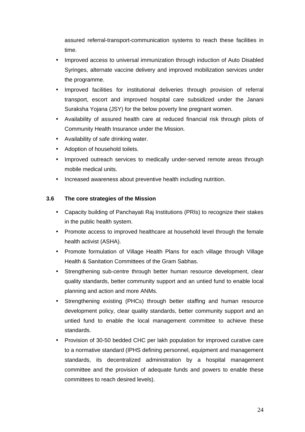assured referral-transport-communication systems to reach these facilities in time.

- Improved access to universal immunization through induction of Auto Disabled Syringes, alternate vaccine delivery and improved mobilization services under the programme.
- Improved facilities for institutional deliveries through provision of referral transport, escort and improved hospital care subsidized under the Janani Suraksha Yojana (JSY) for the below poverty line pregnant women.
- Availability of assured health care at reduced financial risk through pilots of Community Health Insurance under the Mission.
- Availability of safe drinking water.
- Adoption of household toilets.
- Improved outreach services to medically under-served remote areas through mobile medical units.
- Increased awareness about preventive health including nutrition.

# **3.6 The core strategies of the Mission**

- Capacity building of Panchayati Raj Institutions (PRIs) to recognize their stakes in the public health system.
- Promote access to improved healthcare at household level through the female health activist (ASHA).
- Promote formulation of Village Health Plans for each village through Village Health & Sanitation Committees of the Gram Sabhas.
- Strengthening sub-centre through better human resource development, clear quality standards, better community support and an untied fund to enable local planning and action and more ANMs.
- Strengthening existing (PHCs) through better staffing and human resource development policy, clear quality standards, better community support and an untied fund to enable the local management committee to achieve these standards.
- Provision of 30-50 bedded CHC per lakh population for improved curative care to a normative standard (IPHS defining personnel, equipment and management standards, its decentralized administration by a hospital management committee and the provision of adequate funds and powers to enable these committees to reach desired levels).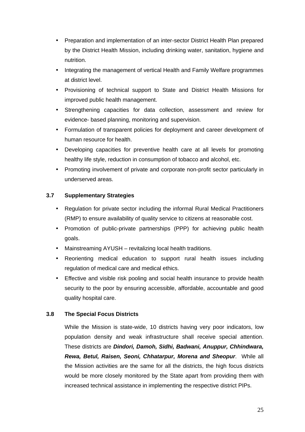- Preparation and implementation of an inter-sector District Health Plan prepared by the District Health Mission, including drinking water, sanitation, hygiene and nutrition.
- Integrating the management of vertical Health and Family Welfare programmes at district level.
- Provisioning of technical support to State and District Health Missions for improved public health management.
- Strengthening capacities for data collection, assessment and review for evidence- based planning, monitoring and supervision.
- Formulation of transparent policies for deployment and career development of human resource for health.
- Developing capacities for preventive health care at all levels for promoting healthy life style, reduction in consumption of tobacco and alcohol, etc.
- Promoting involvement of private and corporate non-profit sector particularly in underserved areas.

# **3.7 Supplementary Strategies**

- Regulation for private sector including the informal Rural Medical Practitioners (RMP) to ensure availability of quality service to citizens at reasonable cost.
- Promotion of public-private partnerships (PPP) for achieving public health goals.
- Mainstreaming AYUSH revitalizing local health traditions.
- Reorienting medical education to support rural health issues including regulation of medical care and medical ethics.
- Effective and visible risk pooling and social health insurance to provide health security to the poor by ensuring accessible, affordable, accountable and good quality hospital care.

# **3.8 The Special Focus Districts**

While the Mission is state-wide, 10 districts having very poor indicators, low population density and weak infrastructure shall receive special attention. These districts are *Dindori, Damoh, Sidhi, Badwani, Anuppur, Chhindwara, Rewa, Betul, Raisen, Seoni, Chhatarpur, Morena and Sheopur*. While all the Mission activities are the same for all the districts, the high focus districts would be more closely monitored by the State apart from providing them with increased technical assistance in implementing the respective district PIPs.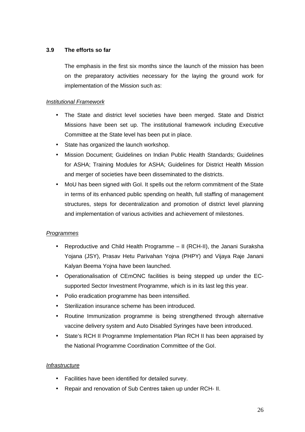# **3.9 The efforts so far**

The emphasis in the first six months since the launch of the mission has been on the preparatory activities necessary for the laying the ground work for implementation of the Mission such as:

# *Institutional Framework*

- The State and district level societies have been merged. State and District Missions have been set up. The institutional framework including Executive Committee at the State level has been put in place.
- State has organized the launch workshop.
- Mission Document; Guidelines on Indian Public Health Standards; Guidelines for ASHA; Training Modules for ASHA; Guidelines for District Health Mission and merger of societies have been disseminated to the districts.
- MoU has been signed with GoI. It spells out the reform commitment of the State in terms of its enhanced public spending on health, full staffing of management structures, steps for decentralization and promotion of district level planning and implementation of various activities and achievement of milestones.

# *Programmes*

- Reproductive and Child Health Programme II (RCH-II), the Janani Suraksha Yojana (JSY), Prasav Hetu Parivahan Yojna (PHPY) and Vijaya Raje Janani Kalyan Beema Yojna have been launched.
- Operationalisation of CEmONC facilities is being stepped up under the ECsupported Sector Investment Programme, which is in its last leg this year.
- Polio eradication programme has been intensified.
- Sterilization insurance scheme has been introduced.
- Routine Immunization programme is being strengthened through alternative vaccine delivery system and Auto Disabled Syringes have been introduced.
- State's RCH II Programme Implementation Plan RCH II has been appraised by the National Programme Coordination Committee of the GoI.

# *Infrastructure*

- Facilities have been identified for detailed survey.
- Repair and renovation of Sub Centres taken up under RCH- II.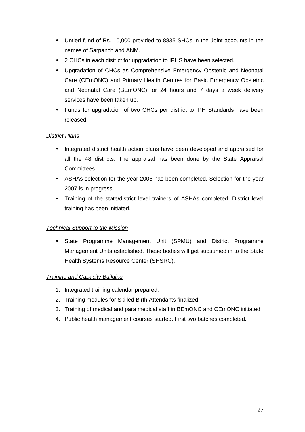- Untied fund of Rs. 10,000 provided to 8835 SHCs in the Joint accounts in the names of Sarpanch and ANM.
- 2 CHCs in each district for upgradation to IPHS have been selected.
- Upgradation of CHCs as Comprehensive Emergency Obstetric and Neonatal Care (CEmONC) and Primary Health Centres for Basic Emergency Obstetric and Neonatal Care (BEmONC) for 24 hours and 7 days a week delivery services have been taken up.
- Funds for upgradation of two CHCs per district to IPH Standards have been released.

# *District Plans*

- Integrated district health action plans have been developed and appraised for all the 48 districts. The appraisal has been done by the State Appraisal Committees.
- ASHAs selection for the year 2006 has been completed. Selection for the year 2007 is in progress.
- Training of the state/district level trainers of ASHAs completed. District level training has been initiated.

# *Technical Support to the Mission*

State Programme Management Unit (SPMU) and District Programme Management Units established. These bodies will get subsumed in to the State Health Systems Resource Center (SHSRC).

# *Training and Capacity Building*

- 1. Integrated training calendar prepared.
- 2. Training modules for Skilled Birth Attendants finalized.
- 3. Training of medical and para medical staff in BEmONC and CEmONC initiated.
- 4. Public health management courses started. First two batches completed.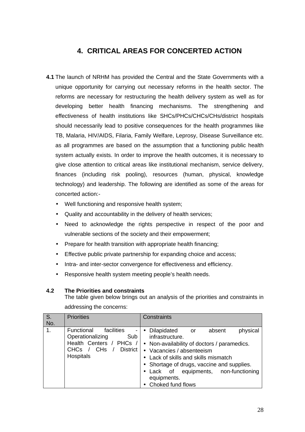# **4. CRITICAL AREAS FOR CONCERTED ACTION**

- **4.1** The launch of NRHM has provided the Central and the State Governments with a unique opportunity for carrying out necessary reforms in the health sector. The reforms are necessary for restructuring the health delivery system as well as for developing better health financing mechanisms. The strengthening and effectiveness of health institutions like SHCs/PHCs/CHCs/CHs/district hospitals should necessarily lead to positive consequences for the health programmes like TB, Malaria, HIV/AIDS, Filaria, Family Welfare, Leprosy, Disease Surveillance etc. as all programmes are based on the assumption that a functioning public health system actually exists. In order to improve the health outcomes, it is necessary to give close attention to critical areas like institutional mechanism, service delivery, finances (including risk pooling), resources (human, physical, knowledge technology) and leadership. The following are identified as some of the areas for concerted action:-
	- Well functioning and responsive health system;
	- Quality and accountability in the delivery of health services;
	- Need to acknowledge the rights perspective in respect of the poor and vulnerable sections of the society and their empowerment;
	- Prepare for health transition with appropriate health financing;
	- Effective public private partnership for expanding choice and access;
	- Intra- and inter-sector convergence for effectiveness and efficiency.
	- Responsive health system meeting people's health needs.

# **4.2 The Priorities and constraints**

The table given below brings out an analysis of the priorities and constraints in addressing the concerns:

| S.<br>No. | <b>Priorities</b>                                                                                                                                                 | Constraints                                                                                                                                                                                                                                                                                                               |
|-----------|-------------------------------------------------------------------------------------------------------------------------------------------------------------------|---------------------------------------------------------------------------------------------------------------------------------------------------------------------------------------------------------------------------------------------------------------------------------------------------------------------------|
| 1.        | facilities<br>Functional<br>$\blacksquare$<br>Operationalizing<br>Sub<br>Health Centers / PHCs /<br>District<br><b>CH<sub>s</sub></b><br><b>CHCs</b><br>Hospitals | • Dilapidated<br>physical<br>absent<br><b>or</b><br>infrastructure.<br>• Non-availability of doctors / paramedics.<br>Vacancies / absenteeism<br>$\bullet$<br>Lack of skills and skills mismatch<br>• Shortage of drugs, vaccine and supplies.<br>Lack of equipments, non-functioning<br>equipments.<br>Choked fund flows |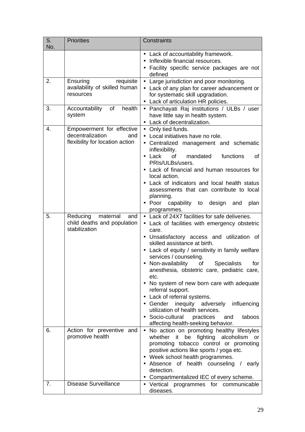| S.<br>No. | <b>Priorities</b>                                                                       | Constraints                                                                                                                                                                                                                                                                                                                                                                                                                                                                                                                                                                                                                                                               |
|-----------|-----------------------------------------------------------------------------------------|---------------------------------------------------------------------------------------------------------------------------------------------------------------------------------------------------------------------------------------------------------------------------------------------------------------------------------------------------------------------------------------------------------------------------------------------------------------------------------------------------------------------------------------------------------------------------------------------------------------------------------------------------------------------------|
| 2.        | Ensuring<br>requisite<br>availability of skilled human                                  | • Lack of accountability framework.<br>Inflexible financial resources.<br>Facility specific service packages are not<br>defined<br>• Large jurisdiction and poor monitoring.<br>• Lack of any plan for career advancement or                                                                                                                                                                                                                                                                                                                                                                                                                                              |
|           | resources                                                                               | for systematic skill upgradation.<br>• Lack of articulation HR policies.                                                                                                                                                                                                                                                                                                                                                                                                                                                                                                                                                                                                  |
| 3.        | of<br>health<br>Accountability<br>system                                                | • Panchayati Raj institutions / ULBs / user<br>have little say in health system.<br>• Lack of decentralization.                                                                                                                                                                                                                                                                                                                                                                                                                                                                                                                                                           |
| 4.        | Empowerment for effective<br>decentralization<br>and<br>flexibility for location action | • Only tied funds.<br>• Local initiatives have no role.<br>• Centralized management and schematic<br>inflexibility.<br>mandated<br>functions<br>Lack<br>of<br>οf<br>$\bullet$<br>PRIs/ULBs/users.<br>Lack of financial and human resources for<br>local action.<br>Lack of indicators and local health status<br>assessments that can contribute to local<br>planning.<br>• Poor capability to<br>design<br>and<br>plan<br>programmes.                                                                                                                                                                                                                                    |
| 5.        | Reducing<br>maternal<br>and<br>child deaths and population<br>stabilization             | • Lack of 24X7 facilities for safe deliveries.<br>• Lack of facilities with emergency obstetric<br>care.<br>Unsatisfactory access and utilization of<br>skilled assistance at birth.<br>Lack of equity / sensitivity in family welfare<br>$\bullet$<br>services / counseling.<br>Non-availability<br><b>Specialists</b><br>for<br>οf<br>anesthesia, obstetric care, pediatric care,<br>etc.<br>No system of new born care with adequate<br>referral support.<br>Lack of referral systems.<br>$\bullet$<br>• Gender inequity adversely influencing<br>utilization of health services.<br>• Socio-cultural practices<br>taboos<br>and<br>affecting health-seeking behavior. |
| 6.        | Action for preventive and<br>promotive health                                           | • No action on promoting healthy lifestyles<br>whether it be fighting alcoholism<br>or<br>promoting tobacco control or promoting<br>positive actions like sports / yoga etc.<br>Week school health programmes.<br>٠<br>Absence of health counseling / early<br>detection.<br>• Compartmentalized IEC of every scheme.                                                                                                                                                                                                                                                                                                                                                     |
| 7.        | <b>Disease Surveillance</b>                                                             | • Vertical programmes for communicable<br>diseases.                                                                                                                                                                                                                                                                                                                                                                                                                                                                                                                                                                                                                       |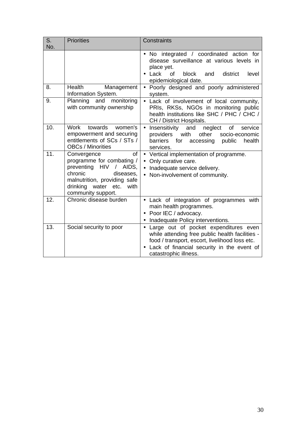| S.  | <b>Priorities</b>                                                                                                                                                                                    | Constraints                                                                                                                                                                                                         |
|-----|------------------------------------------------------------------------------------------------------------------------------------------------------------------------------------------------------|---------------------------------------------------------------------------------------------------------------------------------------------------------------------------------------------------------------------|
| No. |                                                                                                                                                                                                      |                                                                                                                                                                                                                     |
|     |                                                                                                                                                                                                      | No integrated / coordinated action for<br>$\bullet$<br>disease surveillance at various levels in<br>place yet.<br>of<br>Lack<br>block<br>and<br>district<br>level<br>epidemiological date.                          |
| 8.  | <b>Health</b><br>Management<br>Information System.                                                                                                                                                   | • Poorly designed and poorly administered<br>system.                                                                                                                                                                |
| 9.  | Planning and monitoring<br>with community ownership                                                                                                                                                  | • Lack of involvement of local community,<br>PRIs, RKSs, NGOs in monitoring public<br>health institutions like SHC / PHC / CHC /<br>CH / District Hospitals.                                                        |
| 10. | Work<br>towards<br>women's<br>empowerment and securing<br>entitlements of SCs / STs /<br><b>OBCs / Minorities</b>                                                                                    | $\bullet$<br>Insensitivity<br>and<br>neglect<br>of<br>service<br>providers<br>with<br>other<br>socio-economic<br>barriers<br>for<br>accessing public<br>health<br>services.                                         |
| 11. | of<br>Convergence<br>programme for combating /<br>preventing HIV<br>$\sqrt{2}$<br>AIDS,<br>chronic<br>diseases,<br>malnutrition, providing safe<br>drinking water etc.<br>with<br>community support. | • Vertical implementation of programme.<br>Only curative care.<br>$\bullet$<br>Inadequate service delivery.<br>$\bullet$<br>• Non-involvement of community.                                                         |
| 12. | Chronic disease burden                                                                                                                                                                               | • Lack of integration of programmes with<br>main health programmes.<br>Poor IEC / advocacy.<br>Inadequate Policy interventions.                                                                                     |
| 13. | Social security to poor                                                                                                                                                                              | • Large out of pocket expenditures even<br>while attending free public health facilities -<br>food / transport, escort, livelihood loss etc.<br>Lack of financial security in the event of<br>catastrophic illness. |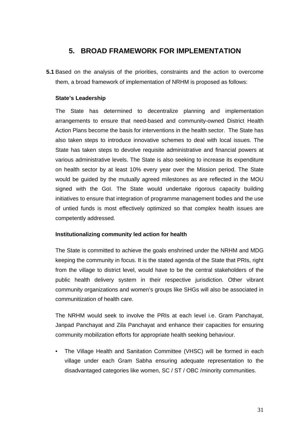# **5. BROAD FRAMEWORK FOR IMPLEMENTATION**

**5.1** Based on the analysis of the priorities, constraints and the action to overcome them, a broad framework of implementation of NRHM is proposed as follows:

# **State's Leadership**

The State has determined to decentralize planning and implementation arrangements to ensure that need-based and community-owned District Health Action Plans become the basis for interventions in the health sector. The State has also taken steps to introduce innovative schemes to deal with local issues. The State has taken steps to devolve requisite administrative and financial powers at various administrative levels. The State is also seeking to increase its expenditure on health sector by at least 10% every year over the Mission period. The State would be guided by the mutually agreed milestones as are reflected in the MOU signed with the GoI. The State would undertake rigorous capacity building initiatives to ensure that integration of programme management bodies and the use of untied funds is most effectively optimized so that complex health issues are competently addressed.

# **Institutionalizing community led action for health**

The State is committed to achieve the goals enshrined under the NRHM and MDG keeping the community in focus. It is the stated agenda of the State that PRIs, right from the village to district level, would have to be the central stakeholders of the public health delivery system in their respective jurisdiction. Other vibrant community organizations and women's groups like SHGs will also be associated in communitization of health care.

The NRHM would seek to involve the PRIs at each level i.e. Gram Panchayat, Janpad Panchayat and Zila Panchayat and enhance their capacities for ensuring community mobilization efforts for appropriate health seeking behaviour.

• The Village Health and Sanitation Committee (VHSC) will be formed in each village under each Gram Sabha ensuring adequate representation to the disadvantaged categories like women, SC / ST / OBC /minority communities.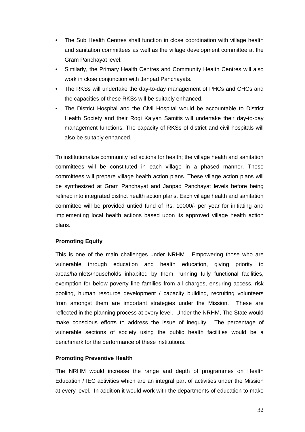- The Sub Health Centres shall function in close coordination with village health and sanitation committees as well as the village development committee at the Gram Panchayat level.
- Similarly, the Primary Health Centres and Community Health Centres will also work in close conjunction with Janpad Panchayats.
- The RKSs will undertake the day-to-day management of PHCs and CHCs and the capacities of these RKSs will be suitably enhanced.
- The District Hospital and the Civil Hospital would be accountable to District Health Society and their Rogi Kalyan Samitis will undertake their day-to-day management functions. The capacity of RKSs of district and civil hospitals will also be suitably enhanced.

To institutionalize community led actions for health; the village health and sanitation committees will be constituted in each village in a phased manner. These committees will prepare village health action plans. These village action plans will be synthesized at Gram Panchayat and Janpad Panchayat levels before being refined into integrated district health action plans. Each village health and sanitation committee will be provided untied fund of Rs. 10000/- per year for initiating and implementing local health actions based upon its approved village health action plans.

# **Promoting Equity**

This is one of the main challenges under NRHM. Empowering those who are vulnerable through education and health education, giving priority to areas/hamlets/households inhabited by them, running fully functional facilities, exemption for below poverty line families from all charges, ensuring access, risk pooling, human resource development / capacity building, recruiting volunteers from amongst them are important strategies under the Mission. These are reflected in the planning process at every level. Under the NRHM, The State would make conscious efforts to address the issue of inequity. The percentage of vulnerable sections of society using the public health facilities would be a benchmark for the performance of these institutions.

# **Promoting Preventive Health**

The NRHM would increase the range and depth of programmes on Health Education / IEC activities which are an integral part of activities under the Mission at every level. In addition it would work with the departments of education to make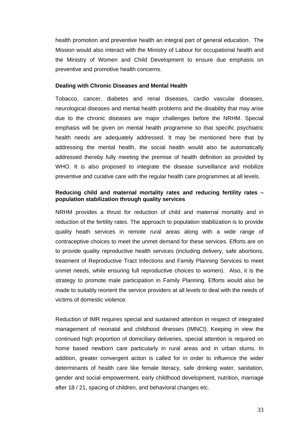health promotion and preventive health an integral part of general education. The Mission would also interact with the Ministry of Labour for occupational health and the Ministry of Women and Child Development to ensure due emphasis on preventive and promotive health concerns.

#### **Dealing with Chronic Diseases and Mental Health**

Tobacco, cancer, diabetes and renal diseases, cardio vascular diseases, neurological diseases and mental health problems and the disability that may arise due to the chronic diseases are major challenges before the NRHM. Special emphasis will be given on mental health programme so that specific psychiatric health needs are adequately addressed. It may be mentioned here that by addressing the mental health, the social health would also be automatically addressed thereby fully meeting the premise of health definition as provided by WHO. It is also proposed to integrate the disease surveillance and mobilize preventive and curative care with the regular health care programmes at all levels.

### **Reducing child and maternal mortality rates and reducing fertility rates – population stabilization through quality services**

NRHM provides a thrust for reduction of child and maternal mortality and in reduction of the fertility rates. The approach to population stabilization is to provide quality heath services in remote rural areas along with a wide range of contraceptive choices to meet the unmet demand for these services. Efforts are on to provide quality reproductive health services (including delivery, safe abortions, treatment of Reproductive Tract Infections and Family Planning Services to meet unmet needs, while ensuring full reproductive choices to women). Also, it is the strategy to promote male participation in Family Planning. Efforts would also be made to suitably reorient the service providers at all levels to deal with the needs of victims of domestic violence.

Reduction of IMR requires special and sustained attention in respect of integrated management of neonatal and childhood illnesses (IMNCI). Keeping in view the continued high proportion of domiciliary deliveries, special attention is required on home based newborn care particularly in rural areas and in urban slums. In addition, greater convergent action is called for in order to influence the wider determinants of health care like female literacy, safe drinking water, sanitation, gender and social empowerment, early childhood development, nutrition, marriage after 18 / 21, spacing of children, and behavioral changes etc.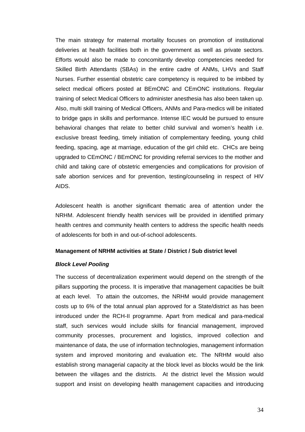The main strategy for maternal mortality focuses on promotion of institutional deliveries at health facilities both in the government as well as private sectors. Efforts would also be made to concomitantly develop competencies needed for Skilled Birth Attendants (SBAs) in the entire cadre of ANMs, LHVs and Staff Nurses. Further essential obstetric care competency is required to be imbibed by select medical officers posted at BEmONC and CEmONC institutions. Regular training of select Medical Officers to administer anesthesia has also been taken up. Also, multi skill training of Medical Officers, ANMs and Para-medics will be initiated to bridge gaps in skills and performance. Intense IEC would be pursued to ensure behavioral changes that relate to better child survival and women's health i.e. exclusive breast feeding, timely initiation of complementary feeding, young child feeding, spacing, age at marriage, education of the girl child etc. CHCs are being upgraded to CEmONC / BEmONC for providing referral services to the mother and child and taking care of obstetric emergencies and complications for provision of safe abortion services and for prevention, testing/counseling in respect of HIV AIDS.

Adolescent health is another significant thematic area of attention under the NRHM. Adolescent friendly health services will be provided in identified primary health centres and community health centers to address the specific health needs of adolescents for both in and out-of-school adolescents.

#### **Management of NRHM activities at State / District / Sub district level**

#### *Block Level Pooling*

The success of decentralization experiment would depend on the strength of the pillars supporting the process. It is imperative that management capacities be built at each level. To attain the outcomes, the NRHM would provide management costs up to 6% of the total annual plan approved for a State/district as has been introduced under the RCH-II programme. Apart from medical and para-medical staff, such services would include skills for financial management, improved community processes, procurement and logistics, improved collection and maintenance of data, the use of information technologies, management information system and improved monitoring and evaluation etc. The NRHM would also establish strong managerial capacity at the block level as blocks would be the link between the villages and the districts. At the district level the Mission would support and insist on developing health management capacities and introducing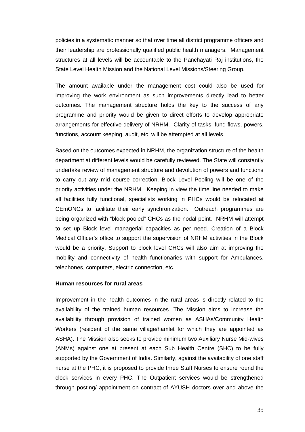policies in a systematic manner so that over time all district programme officers and their leadership are professionally qualified public health managers. Management structures at all levels will be accountable to the Panchayati Raj institutions, the State Level Health Mission and the National Level Missions/Steering Group.

The amount available under the management cost could also be used for improving the work environment as such improvements directly lead to better outcomes. The management structure holds the key to the success of any programme and priority would be given to direct efforts to develop appropriate arrangements for effective delivery of NRHM. Clarity of tasks, fund flows, powers, functions, account keeping, audit, etc. will be attempted at all levels.

Based on the outcomes expected in NRHM, the organization structure of the health department at different levels would be carefully reviewed. The State will constantly undertake review of management structure and devolution of powers and functions to carry out any mid course correction. Block Level Pooling will be one of the priority activities under the NRHM. Keeping in view the time line needed to make all facilities fully functional, specialists working in PHCs would be relocated at CEmONCs to facilitate their early synchronization. Outreach programmes are being organized with "block pooled" CHCs as the nodal point. NRHM will attempt to set up Block level managerial capacities as per need. Creation of a Block Medical Officer's office to support the supervision of NRHM activities in the Block would be a priority. Support to block level CHCs will also aim at improving the mobility and connectivity of health functionaries with support for Ambulances, telephones, computers, electric connection, etc.

#### **Human resources for rural areas**

Improvement in the health outcomes in the rural areas is directly related to the availability of the trained human resources. The Mission aims to increase the availability through provision of trained women as ASHAs/Community Health Workers (resident of the same village/hamlet for which they are appointed as ASHA). The Mission also seeks to provide minimum two Auxiliary Nurse Mid-wives (ANMs) against one at present at each Sub Health Centre (SHC) to be fully supported by the Government of India. Similarly, against the availability of one staff nurse at the PHC, it is proposed to provide three Staff Nurses to ensure round the clock services in every PHC. The Outpatient services would be strengthened through posting/ appointment on contract of AYUSH doctors over and above the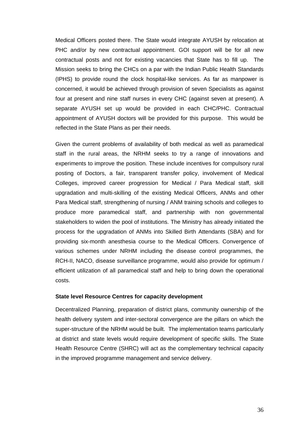Medical Officers posted there. The State would integrate AYUSH by relocation at PHC and/or by new contractual appointment. GOI support will be for all new contractual posts and not for existing vacancies that State has to fill up. The Mission seeks to bring the CHCs on a par with the Indian Public Health Standards (IPHS) to provide round the clock hospital-like services. As far as manpower is concerned, it would be achieved through provision of seven Specialists as against four at present and nine staff nurses in every CHC (against seven at present). A separate AYUSH set up would be provided in each CHC/PHC. Contractual appointment of AYUSH doctors will be provided for this purpose. This would be reflected in the State Plans as per their needs.

Given the current problems of availability of both medical as well as paramedical staff in the rural areas, the NRHM seeks to try a range of innovations and experiments to improve the position. These include incentives for compulsory rural posting of Doctors, a fair, transparent transfer policy, involvement of Medical Colleges, improved career progression for Medical / Para Medical staff, skill upgradation and multi-skilling of the existing Medical Officers, ANMs and other Para Medical staff, strengthening of nursing / ANM training schools and colleges to produce more paramedical staff, and partnership with non governmental stakeholders to widen the pool of institutions. The Ministry has already initiated the process for the upgradation of ANMs into Skilled Birth Attendants (SBA) and for providing six-month anesthesia course to the Medical Officers. Convergence of various schemes under NRHM including the disease control programmes, the RCH-II, NACO, disease surveillance programme, would also provide for optimum / efficient utilization of all paramedical staff and help to bring down the operational costs.

#### **State level Resource Centres for capacity development**

Decentralized Planning, preparation of district plans, community ownership of the health delivery system and inter-sectoral convergence are the pillars on which the super-structure of the NRHM would be built. The implementation teams particularly at district and state levels would require development of specific skills. The State Health Resource Centre (SHRC) will act as the complementary technical capacity in the improved programme management and service delivery.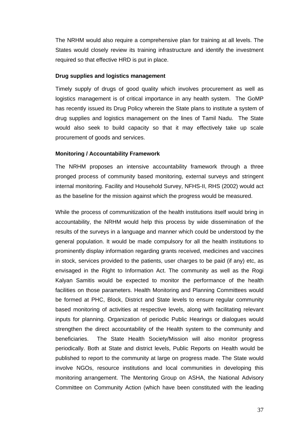The NRHM would also require a comprehensive plan for training at all levels. The States would closely review its training infrastructure and identify the investment required so that effective HRD is put in place.

#### **Drug supplies and logistics management**

Timely supply of drugs of good quality which involves procurement as well as logistics management is of critical importance in any health system. The GoMP has recently issued its Drug Policy wherein the State plans to institute a system of drug supplies and logistics management on the lines of Tamil Nadu. The State would also seek to build capacity so that it may effectively take up scale procurement of goods and services.

#### **Monitoring / Accountability Framework**

The NRHM proposes an intensive accountability framework through a three pronged process of community based monitoring, external surveys and stringent internal monitoring. Facility and Household Survey, NFHS-II, RHS (2002) would act as the baseline for the mission against which the progress would be measured.

While the process of communitization of the health institutions itself would bring in accountability, the NRHM would help this process by wide dissemination of the results of the surveys in a language and manner which could be understood by the general population. It would be made compulsory for all the health institutions to prominently display information regarding grants received, medicines and vaccines in stock, services provided to the patients, user charges to be paid (if any) etc, as envisaged in the Right to Information Act. The community as well as the Rogi Kalyan Samitis would be expected to monitor the performance of the health facilities on those parameters. Health Monitoring and Planning Committees would be formed at PHC, Block, District and State levels to ensure regular community based monitoring of activities at respective levels, along with facilitating relevant inputs for planning. Organization of periodic Public Hearings or dialogues would strengthen the direct accountability of the Health system to the community and beneficiaries. The State Health Society/Mission will also monitor progress periodically. Both at State and district levels, Public Reports on Health would be published to report to the community at large on progress made. The State would involve NGOs, resource institutions and local communities in developing this monitoring arrangement. The Mentoring Group on ASHA, the National Advisory Committee on Community Action (which have been constituted with the leading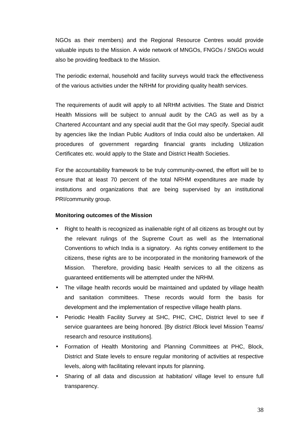NGOs as their members) and the Regional Resource Centres would provide valuable inputs to the Mission. A wide network of MNGOs, FNGOs / SNGOs would also be providing feedback to the Mission.

The periodic external, household and facility surveys would track the effectiveness of the various activities under the NRHM for providing quality health services.

The requirements of audit will apply to all NRHM activities. The State and District Health Missions will be subject to annual audit by the CAG as well as by a Chartered Accountant and any special audit that the GoI may specify. Special audit by agencies like the Indian Public Auditors of India could also be undertaken. All procedures of government regarding financial grants including Utilization Certificates etc. would apply to the State and District Health Societies.

For the accountability framework to be truly community-owned, the effort will be to ensure that at least 70 percent of the total NRHM expenditures are made by institutions and organizations that are being supervised by an institutional PRI/community group.

# **Monitoring outcomes of the Mission**

- Right to health is recognized as inalienable right of all citizens as brought out by the relevant rulings of the Supreme Court as well as the International Conventions to which India is a signatory. As rights convey entitlement to the citizens, these rights are to be incorporated in the monitoring framework of the Mission. Therefore, providing basic Health services to all the citizens as guaranteed entitlements will be attempted under the NRHM.
- The village health records would be maintained and updated by village health and sanitation committees. These records would form the basis for development and the implementation of respective village health plans.
- Periodic Health Facility Survey at SHC, PHC, CHC, District level to see if service guarantees are being honored. [By district /Block level Mission Teams/ research and resource institutions].
- Formation of Health Monitoring and Planning Committees at PHC, Block, District and State levels to ensure regular monitoring of activities at respective levels, along with facilitating relevant inputs for planning.
- Sharing of all data and discussion at habitation/ village level to ensure full transparency.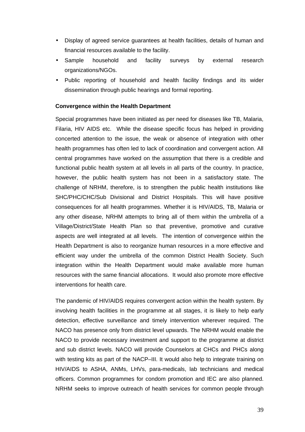- Display of agreed service guarantees at health facilities, details of human and financial resources available to the facility.
- Sample household and facility surveys by external research organizations/NGOs.
- Public reporting of household and health facility findings and its wider dissemination through public hearings and formal reporting.

#### **Convergence within the Health Department**

Special programmes have been initiated as per need for diseases like TB, Malaria, Filaria, HIV AIDS etc. While the disease specific focus has helped in providing concerted attention to the issue, the weak or absence of integration with other health programmes has often led to lack of coordination and convergent action. All central programmes have worked on the assumption that there is a credible and functional public health system at all levels in all parts of the country. In practice, however, the public health system has not been in a satisfactory state. The challenge of NRHM, therefore, is to strengthen the public health institutions like SHC/PHC/CHC/Sub Divisional and District Hospitals. This will have positive consequences for all health programmes. Whether it is HIV/AIDS, TB, Malaria or any other disease, NRHM attempts to bring all of them within the umbrella of a Village/District/State Health Plan so that preventive, promotive and curative aspects are well integrated at all levels. The intention of convergence within the Health Department is also to reorganize human resources in a more effective and efficient way under the umbrella of the common District Health Society. Such integration within the Health Department would make available more human resources with the same financial allocations. It would also promote more effective interventions for health care.

The pandemic of HIV/AIDS requires convergent action within the health system. By involving health facilities in the programme at all stages, it is likely to help early detection, effective surveillance and timely intervention wherever required. The NACO has presence only from district level upwards. The NRHM would enable the NACO to provide necessary investment and support to the programme at district and sub district levels. NACO will provide Counselors at CHCs and PHCs along with testing kits as part of the NACP–III. It would also help to integrate training on HIV/AIDS to ASHA, ANMs, LHVs, para-medicals, lab technicians and medical officers. Common programmes for condom promotion and IEC are also planned. NRHM seeks to improve outreach of health services for common people through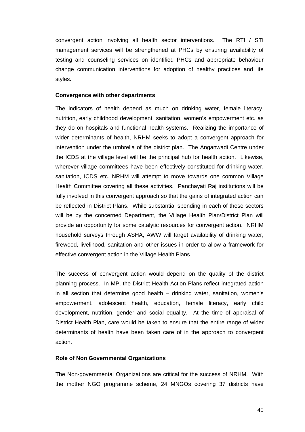convergent action involving all health sector interventions. The RTI / STI management services will be strengthened at PHCs by ensuring availability of testing and counseling services on identified PHCs and appropriate behaviour change communication interventions for adoption of healthy practices and life styles.

#### **Convergence with other departments**

The indicators of health depend as much on drinking water, female literacy, nutrition, early childhood development, sanitation, women's empowerment etc. as they do on hospitals and functional health systems. Realizing the importance of wider determinants of health, NRHM seeks to adopt a convergent approach for intervention under the umbrella of the district plan. The Anganwadi Centre under the ICDS at the village level will be the principal hub for health action. Likewise, wherever village committees have been effectively constituted for drinking water, sanitation, ICDS etc. NRHM will attempt to move towards one common Village Health Committee covering all these activities. Panchayati Raj institutions will be fully involved in this convergent approach so that the gains of integrated action can be reflected in District Plans. While substantial spending in each of these sectors will be by the concerned Department, the Village Health Plan/District Plan will provide an opportunity for some catalytic resources for convergent action. NRHM household surveys through ASHA, AWW will target availability of drinking water, firewood, livelihood, sanitation and other issues in order to allow a framework for effective convergent action in the Village Health Plans.

The success of convergent action would depend on the quality of the district planning process. In MP, the District Health Action Plans reflect integrated action in all section that determine good health – drinking water, sanitation, women's empowerment, adolescent health, education, female literacy, early child development, nutrition, gender and social equality. At the time of appraisal of District Health Plan, care would be taken to ensure that the entire range of wider determinants of health have been taken care of in the approach to convergent action.

#### **Role of Non Governmental Organizations**

The Non-governmental Organizations are critical for the success of NRHM. With the mother NGO programme scheme, 24 MNGOs covering 37 districts have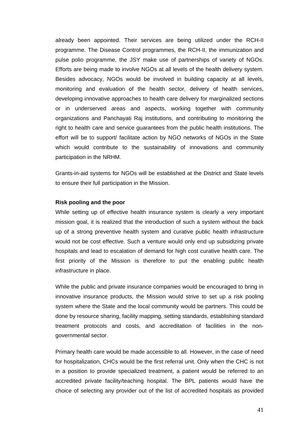already been appointed. Their services are being utilized under the RCH-II programme. The Disease Control programmes, the RCH-II, the immunization and pulse polio programme, the JSY make use of partnerships of variety of NGOs. Efforts are being made to involve NGOs at all levels of the health delivery system. Besides advocacy, NGOs would be involved in building capacity at all levels, monitoring and evaluation of the health sector, delivery of health services, developing innovative approaches to health care delivery for marginalized sections or in underserved areas and aspects, working together with community organizations and Panchayati Raj institutions, and contributing to monitoring the right to health care and service guarantees from the public health institutions. The effort will be to support/ facilitate action by NGO networks of NGOs in the State which would contribute to the sustainability of innovations and community participation in the NRHM.

Grants-in-aid systems for NGOs will be established at the District and State levels to ensure their full participation in the Mission.

#### **Risk pooling and the poor**

While setting up of effective health insurance system is clearly a very important mission goal, it is realized that the introduction of such a system without the back up of a strong preventive health system and curative public health infrastructure would not be cost effective. Such a venture would only end up subsidizing private hospitals and lead to escalation of demand for high cost curative health care. The first priority of the Mission is therefore to put the enabling public health infrastructure in place.

While the public and private insurance companies would be encouraged to bring in innovative insurance products, the Mission would strive to set up a risk pooling system where the State and the local community would be partners. This could be done by resource sharing, facility mapping, setting standards, establishing standard treatment protocols and costs, and accreditation of facilities in the nongovernmental sector.

Primary health care would be made accessible to all. However, in the case of need for hospitalization, CHCs would be the first referral unit. Only when the CHC is not in a position to provide specialized treatment, a patient would be referred to an accredited private facility/teaching hospital. The BPL patients would have the choice of selecting any provider out of the list of accredited hospitals as provided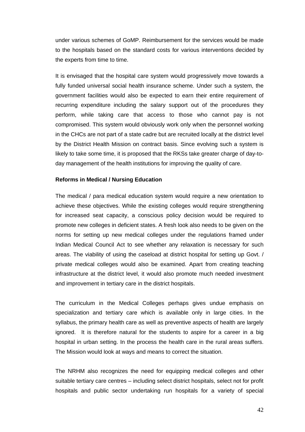under various schemes of GoMP. Reimbursement for the services would be made to the hospitals based on the standard costs for various interventions decided by the experts from time to time.

It is envisaged that the hospital care system would progressively move towards a fully funded universal social health insurance scheme. Under such a system, the government facilities would also be expected to earn their entire requirement of recurring expenditure including the salary support out of the procedures they perform, while taking care that access to those who cannot pay is not compromised. This system would obviously work only when the personnel working in the CHCs are not part of a state cadre but are recruited locally at the district level by the District Health Mission on contract basis. Since evolving such a system is likely to take some time, it is proposed that the RKSs take greater charge of day-today management of the health institutions for improving the quality of care.

#### **Reforms in Medical / Nursing Education**

The medical / para medical education system would require a new orientation to achieve these objectives. While the existing colleges would require strengthening for increased seat capacity, a conscious policy decision would be required to promote new colleges in deficient states. A fresh look also needs to be given on the norms for setting up new medical colleges under the regulations framed under Indian Medical Council Act to see whether any relaxation is necessary for such areas. The viability of using the caseload at district hospital for setting up Govt. / private medical colleges would also be examined. Apart from creating teaching infrastructure at the district level, it would also promote much needed investment and improvement in tertiary care in the district hospitals.

The curriculum in the Medical Colleges perhaps gives undue emphasis on specialization and tertiary care which is available only in large cities. In the syllabus, the primary health care as well as preventive aspects of health are largely ignored. It is therefore natural for the students to aspire for a career in a big hospital in urban setting. In the process the health care in the rural areas suffers. The Mission would look at ways and means to correct the situation.

The NRHM also recognizes the need for equipping medical colleges and other suitable tertiary care centres – including select district hospitals, select not for profit hospitals and public sector undertaking run hospitals for a variety of special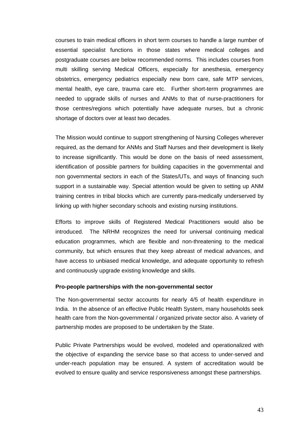courses to train medical officers in short term courses to handle a large number of essential specialist functions in those states where medical colleges and postgraduate courses are below recommended norms. This includes courses from multi skilling serving Medical Officers, especially for anesthesia, emergency obstetrics, emergency pediatrics especially new born care, safe MTP services, mental health, eye care, trauma care etc. Further short-term programmes are needed to upgrade skills of nurses and ANMs to that of nurse-practitioners for those centres/regions which potentially have adequate nurses, but a chronic shortage of doctors over at least two decades.

The Mission would continue to support strengthening of Nursing Colleges wherever required, as the demand for ANMs and Staff Nurses and their development is likely to increase significantly. This would be done on the basis of need assessment, identification of possible partners for building capacities in the governmental and non governmental sectors in each of the States/UTs, and ways of financing such support in a sustainable way. Special attention would be given to setting up ANM training centres in tribal blocks which are currently para-medically underserved by linking up with higher secondary schools and existing nursing institutions.

Efforts to improve skills of Registered Medical Practitioners would also be introduced. The NRHM recognizes the need for universal continuing medical education programmes, which are flexible and non-threatening to the medical community, but which ensures that they keep abreast of medical advances, and have access to unbiased medical knowledge, and adequate opportunity to refresh and continuously upgrade existing knowledge and skills.

#### **Pro-people partnerships with the non-governmental sector**

The Non-governmental sector accounts for nearly 4/5 of health expenditure in India. In the absence of an effective Public Health System, many households seek health care from the Non-governmental / organized private sector also. A variety of partnership modes are proposed to be undertaken by the State.

Public Private Partnerships would be evolved, modeled and operationalized with the objective of expanding the service base so that access to under-served and under-reach population may be ensured. A system of accreditation would be evolved to ensure quality and service responsiveness amongst these partnerships.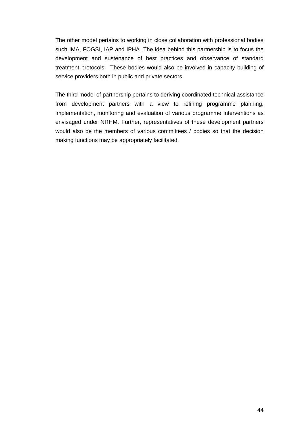The other model pertains to working in close collaboration with professional bodies such IMA, FOGSI, IAP and IPHA. The idea behind this partnership is to focus the development and sustenance of best practices and observance of standard treatment protocols. These bodies would also be involved in capacity building of service providers both in public and private sectors.

The third model of partnership pertains to deriving coordinated technical assistance from development partners with a view to refining programme planning, implementation, monitoring and evaluation of various programme interventions as envisaged under NRHM. Further, representatives of these development partners would also be the members of various committees / bodies so that the decision making functions may be appropriately facilitated.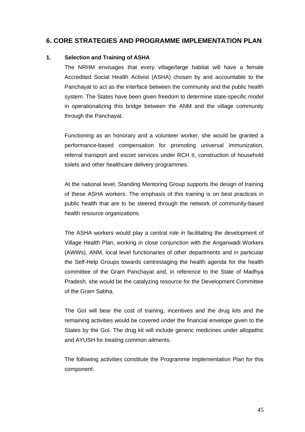# **6. CORE STRATEGIES AND PROGRAMME IMPLEMENTATION PLAN**

# **1. Selection and Training of ASHA**

The NRHM envisages that every village/large habitat will have a female Accredited Social Health Activist (ASHA) chosen by and accountable to the Panchayat to act as the interface between the community and the public health system. The States have been given freedom to determine state-specific model in operationalizing this bridge between the ANM and the village community through the Panchayat.

Functioning as an honorary and a volunteer worker, she would be granted a performance-based compensation for promoting universal immunization, referral transport and escort services under RCH II, construction of household toilets and other healthcare delivery programmes.

At the national level, Standing Mentoring Group supports the design of training of these ASHA workers. The emphasis of this training is on best practices in public health that are to be steered through the network of community-based health resource organizations.

The ASHA workers would play a central role in facilitating the development of Village Health Plan, working in close conjunction with the Anganwadi Workers (AWWs), ANM, local level functionaries of other departments and in particular the Self-Help Groups towards centrestaging the health agenda for the health committee of the Gram Panchayat and, in reference to the State of Madhya Pradesh, she would be the catalyzing resource for the Development Committee of the Gram Sabha.

The GoI will bear the cost of training, incentives and the drug kits and the remaining activities would be covered under the financial envelope given to the States by the GoI. The drug kit will include generic medicines under allopathic and AYUSH for treating common ailments.

The following activities constitute the Programme Implementation Plan for this component: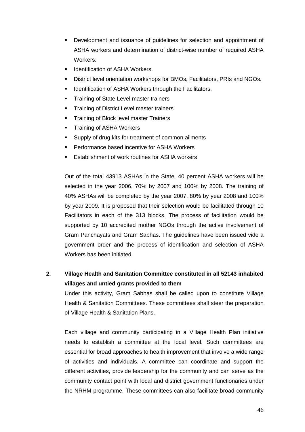- **•** Development and issuance of guidelines for selection and appointment of ASHA workers and determination of district-wise number of required ASHA Workers.
- ß Identification of ASHA Workers.
- ß District level orientation workshops for BMOs, Facilitators, PRIs and NGOs.
- **EXECT** Identification of ASHA Workers through the Facilitators.
- **Training of State Level master trainers**
- **Training of District Level master trainers**
- ß Training of Block level master Trainers
- ß Training of ASHA Workers
- **Supply of drug kits for treatment of common ailments**
- ß Performance based incentive for ASHA Workers
- ß Establishment of work routines for ASHA workers

Out of the total 43913 ASHAs in the State, 40 percent ASHA workers will be selected in the year 2006, 70% by 2007 and 100% by 2008. The training of 40% ASHAs will be completed by the year 2007, 80% by year 2008 and 100% by year 2009. It is proposed that their selection would be facilitated through 10 Facilitators in each of the 313 blocks. The process of facilitation would be supported by 10 accredited mother NGOs through the active involvement of Gram Panchayats and Gram Sabhas. The guidelines have been issued vide a government order and the process of identification and selection of ASHA Workers has been initiated.

# **2. Village Health and Sanitation Committee constituted in all 52143 inhabited villages and untied grants provided to them**

Under this activity, Gram Sabhas shall be called upon to constitute Village Health & Sanitation Committees. These committees shall steer the preparation of Village Health & Sanitation Plans.

Each village and community participating in a Village Health Plan initiative needs to establish a committee at the local level. Such committees are essential for broad approaches to health improvement that involve a wide range of activities and individuals. A committee can coordinate and support the different activities, provide leadership for the community and can serve as the community contact point with local and district government functionaries under the NRHM programme. These committees can also facilitate broad community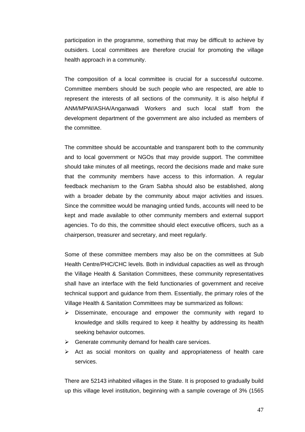participation in the programme, something that may be difficult to achieve by outsiders. Local committees are therefore crucial for promoting the village health approach in a community.

The composition of a local committee is crucial for a successful outcome. Committee members should be such people who are respected, are able to represent the interests of all sections of the community. It is also helpful if ANM/MPW/ASHA/Anganwadi Workers and such local staff from the development department of the government are also included as members of the committee.

The committee should be accountable and transparent both to the community and to local government or NGOs that may provide support. The committee should take minutes of all meetings, record the decisions made and make sure that the community members have access to this information. A regular feedback mechanism to the Gram Sabha should also be established, along with a broader debate by the community about major activities and issues. Since the committee would be managing untied funds, accounts will need to be kept and made available to other community members and external support agencies. To do this, the committee should elect executive officers, such as a chairperson, treasurer and secretary, and meet regularly.

Some of these committee members may also be on the committees at Sub Health Centre/PHC/CHC levels. Both in individual capacities as well as through the Village Health & Sanitation Committees, these community representatives shall have an interface with the field functionaries of government and receive technical support and guidance from them. Essentially, the primary roles of the Village Health & Sanitation Committees may be summarized as follows:

- $\triangleright$  Disseminate, encourage and empower the community with regard to knowledge and skills required to keep it healthy by addressing its health seeking behavior outcomes.
- $\triangleright$  Generate community demand for health care services.
- $\triangleright$  Act as social monitors on quality and appropriateness of health care services.

There are 52143 inhabited villages in the State. It is proposed to gradually build up this village level institution, beginning with a sample coverage of 3% (1565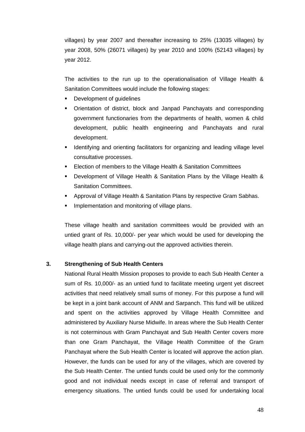villages) by year 2007 and thereafter increasing to 25% (13035 villages) by year 2008, 50% (26071 villages) by year 2010 and 100% (52143 villages) by year 2012.

The activities to the run up to the operationalisation of Village Health & Sanitation Committees would include the following stages:

- ß Development of guidelines
- Orientation of district, block and Janpad Panchayats and corresponding government functionaries from the departments of health, women & child development, public health engineering and Panchayats and rural development.
- **If Identifying and orienting facilitators for organizing and leading village level** consultative processes.
- ß Election of members to the Village Health & Sanitation Committees
- ß Development of Village Health & Sanitation Plans by the Village Health & Sanitation Committees.
- ß Approval of Village Health & Sanitation Plans by respective Gram Sabhas.
- **Implementation and monitoring of village plans.**

These village health and sanitation committees would be provided with an untied grant of Rs. 10,000/- per year which would be used for developing the village health plans and carrying-out the approved activities therein.

# **3. Strengthening of Sub Health Centers**

National Rural Health Mission proposes to provide to each Sub Health Center a sum of Rs. 10,000/- as an untied fund to facilitate meeting urgent yet discreet activities that need relatively small sums of money. For this purpose a fund will be kept in a joint bank account of ANM and Sarpanch. This fund will be utilized and spent on the activities approved by Village Health Committee and administered by Auxiliary Nurse Midwife. In areas where the Sub Health Center is not coterminous with Gram Panchayat and Sub Health Center covers more than one Gram Panchayat, the Village Health Committee of the Gram Panchayat where the Sub Health Center is located will approve the action plan. However, the funds can be used for any of the villages, which are covered by the Sub Health Center. The untied funds could be used only for the commonly good and not individual needs except in case of referral and transport of emergency situations. The untied funds could be used for undertaking local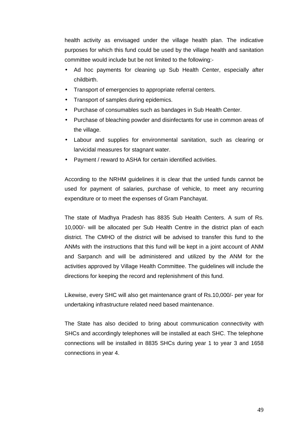health activity as envisaged under the village health plan. The indicative purposes for which this fund could be used by the village health and sanitation committee would include but be not limited to the following:-

- Ad hoc payments for cleaning up Sub Health Center, especially after childbirth.
- Transport of emergencies to appropriate referral centers.
- Transport of samples during epidemics.
- Purchase of consumables such as bandages in Sub Health Center.
- Purchase of bleaching powder and disinfectants for use in common areas of the village.
- Labour and supplies for environmental sanitation, such as clearing or larvicidal measures for stagnant water.
- Payment / reward to ASHA for certain identified activities.

According to the NRHM guidelines it is clear that the untied funds cannot be used for payment of salaries, purchase of vehicle, to meet any recurring expenditure or to meet the expenses of Gram Panchayat.

The state of Madhya Pradesh has 8835 Sub Health Centers. A sum of Rs. 10,000/- will be allocated per Sub Health Centre in the district plan of each district. The CMHO of the district will be advised to transfer this fund to the ANMs with the instructions that this fund will be kept in a joint account of ANM and Sarpanch and will be administered and utilized by the ANM for the activities approved by Village Health Committee. The guidelines will include the directions for keeping the record and replenishment of this fund.

Likewise, every SHC will also get maintenance grant of Rs.10,000/- per year for undertaking infrastructure related need based maintenance.

The State has also decided to bring about communication connectivity with SHCs and accordingly telephones will be installed at each SHC. The telephone connections will be installed in 8835 SHCs during year 1 to year 3 and 1658 connections in year 4.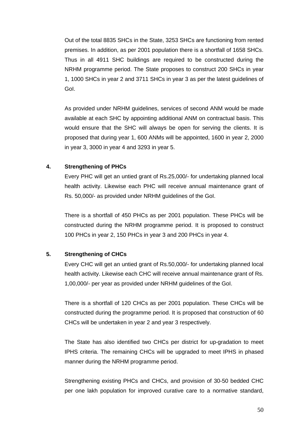Out of the total 8835 SHCs in the State, 3253 SHCs are functioning from rented premises. In addition, as per 2001 population there is a shortfall of 1658 SHCs. Thus in all 4911 SHC buildings are required to be constructed during the NRHM programme period. The State proposes to construct 200 SHCs in year 1, 1000 SHCs in year 2 and 3711 SHCs in year 3 as per the latest guidelines of GoI.

As provided under NRHM guidelines, services of second ANM would be made available at each SHC by appointing additional ANM on contractual basis. This would ensure that the SHC will always be open for serving the clients. It is proposed that during year 1, 600 ANMs will be appointed, 1600 in year 2, 2000 in year 3, 3000 in year 4 and 3293 in year 5.

# **4. Strengthening of PHCs**

Every PHC will get an untied grant of Rs.25,000/- for undertaking planned local health activity. Likewise each PHC will receive annual maintenance grant of Rs. 50,000/- as provided under NRHM guidelines of the GoI.

There is a shortfall of 450 PHCs as per 2001 population. These PHCs will be constructed during the NRHM programme period. It is proposed to construct 100 PHCs in year 2, 150 PHCs in year 3 and 200 PHCs in year 4.

# **5. Strengthening of CHCs**

Every CHC will get an untied grant of Rs.50,000/- for undertaking planned local health activity. Likewise each CHC will receive annual maintenance grant of Rs. 1,00,000/- per year as provided under NRHM guidelines of the GoI.

There is a shortfall of 120 CHCs as per 2001 population. These CHCs will be constructed during the programme period. It is proposed that construction of 60 CHCs will be undertaken in year 2 and year 3 respectively.

The State has also identified two CHCs per district for up-gradation to meet IPHS criteria. The remaining CHCs will be upgraded to meet IPHS in phased manner during the NRHM programme period.

Strengthening existing PHCs and CHCs, and provision of 30-50 bedded CHC per one lakh population for improved curative care to a normative standard,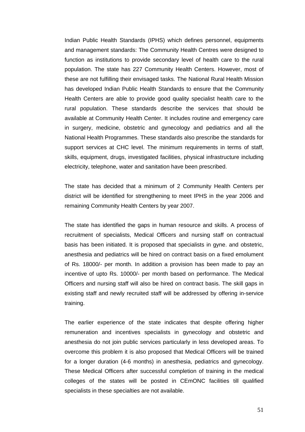Indian Public Health Standards (IPHS) which defines personnel, equipments and management standards: The Community Health Centres were designed to function as institutions to provide secondary level of health care to the rural population. The state has 227 Community Health Centers. However, most of these are not fulfilling their envisaged tasks. The National Rural Health Mission has developed Indian Public Health Standards to ensure that the Community Health Centers are able to provide good quality specialist health care to the rural population. These standards describe the services that should be available at Community Health Center. It includes routine and emergency care in surgery, medicine, obstetric and gynecology and pediatrics and all the National Health Programmes. These standards also prescribe the standards for support services at CHC level. The minimum requirements in terms of staff, skills, equipment, drugs, investigated facilities, physical infrastructure including electricity, telephone, water and sanitation have been prescribed.

The state has decided that a minimum of 2 Community Health Centers per district will be identified for strengthening to meet IPHS in the year 2006 and remaining Community Health Centers by year 2007.

The state has identified the gaps in human resource and skills. A process of recruitment of specialists, Medical Officers and nursing staff on contractual basis has been initiated. It is proposed that specialists in gyne. and obstetric, anesthesia and pediatrics will be hired on contract basis on a fixed emolument of Rs. 18000/- per month. In addition a provision has been made to pay an incentive of upto Rs. 10000/- per month based on performance. The Medical Officers and nursing staff will also be hired on contract basis. The skill gaps in existing staff and newly recruited staff will be addressed by offering in-service training.

The earlier experience of the state indicates that despite offering higher remuneration and incentives specialists in gynecology and obstetric and anesthesia do not join public services particularly in less developed areas. To overcome this problem it is also proposed that Medical Officers will be trained for a longer duration (4-6 months) in anesthesia, pediatrics and gynecology. These Medical Officers after successful completion of training in the medical colleges of the states will be posted in CEmONC facilities till qualified specialists in these specialties are not available.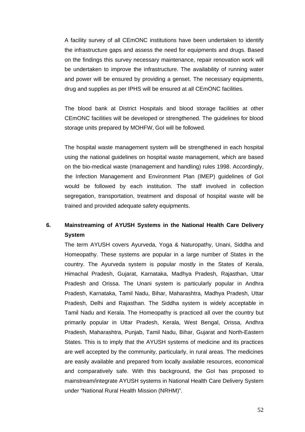A facility survey of all CEmONC institutions have been undertaken to identify the infrastructure gaps and assess the need for equipments and drugs. Based on the findings this survey necessary maintenance, repair renovation work will be undertaken to improve the infrastructure. The availability of running water and power will be ensured by providing a genset. The necessary equipments, drug and supplies as per IPHS will be ensured at all CEmONC facilities.

The blood bank at District Hospitals and blood storage facilities at other CEmONC facilities will be developed or strengthened. The guidelines for blood storage units prepared by MOHFW, GoI will be followed.

The hospital waste management system will be strengthened in each hospital using the national guidelines on hospital waste management, which are based on the bio-medical waste (management and handling) rules 1998. Accordingly, the Infection Management and Environment Plan (IMEP) guidelines of GoI would be followed by each institution. The staff involved in collection segregation, transportation, treatment and disposal of hospital waste will be trained and provided adequate safety equipments.

# **6. Mainstreaming of AYUSH Systems in the National Health Care Delivery System**

The term AYUSH covers Ayurveda, Yoga & Naturopathy, Unani, Siddha and Homeopathy. These systems are popular in a large number of States in the country. The Ayurveda system is popular mostly in the States of Kerala, Himachal Pradesh, Gujarat, Karnataka, Madhya Pradesh, Rajasthan, Uttar Pradesh and Orissa. The Unani system is particularly popular in Andhra Pradesh, Karnataka, Tamil Nadu, Bihar, Maharashtra, Madhya Pradesh, Uttar Pradesh, Delhi and Rajasthan. The Siddha system is widely acceptable in Tamil Nadu and Kerala. The Homeopathy is practiced all over the country but primarily popular in Uttar Pradesh, Kerala, West Bengal, Orissa, Andhra Pradesh, Maharashtra, Punjab, Tamil Nadu, Bihar, Gujarat and North-Eastern States. This is to imply that the AYUSH systems of medicine and its practices are well accepted by the community, particularly, in rural areas. The medicines are easily available and prepared from locally available resources, economical and comparatively safe. With this background, the GoI has proposed to mainstream/integrate AYUSH systems in National Health Care Delivery System under "National Rural Health Mission (NRHM)".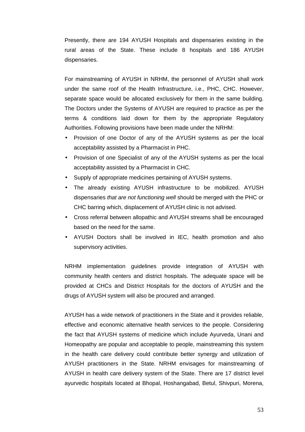Presently, there are 194 AYUSH Hospitals and dispensaries existing in the rural areas of the State. These include 8 hospitals and 186 AYUSH dispensaries.

For mainstreaming of AYUSH in NRHM, the personnel of AYUSH shall work under the same roof of the Health Infrastructure, i.e., PHC, CHC. However, separate space would be allocated exclusively for them in the same building. The Doctors under the Systems of AYUSH are required to practice as per the terms & conditions laid down for them by the appropriate Regulatory Authorities. Following provisions have been made under the NRHM:

- Provision of one Doctor of any of the AYUSH systems as per the local acceptability assisted by a Pharmacist in PHC.
- Provision of one Specialist of any of the AYUSH systems as per the local acceptability assisted by a Pharmacist in CHC.
- Supply of appropriate medicines pertaining of AYUSH systems.
- The already existing AYUSH infrastructure to be mobilized. AYUSH dispensaries *that are not functioning well* should be merged with the PHC or CHC barring which, displacement of AYUSH clinic is not advised.
- Cross referral between allopathic and AYUSH streams shall be encouraged based on the need for the same.
- AYUSH Doctors shall be involved in IEC, health promotion and also supervisory activities.

NRHM implementation guidelines provide integration of AYUSH with community health centers and district hospitals. The adequate space will be provided at CHCs and District Hospitals for the doctors of AYUSH and the drugs of AYUSH system will also be procured and arranged.

AYUSH has a wide network of practitioners in the State and it provides reliable, effective and economic alternative health services to the people. Considering the fact that AYUSH systems of medicine which include Ayurveda, Unani and Homeopathy are popular and acceptable to people, mainstreaming this system in the health care delivery could contribute better synergy and utilization of AYUSH practitioners in the State. NRHM envisages for mainstreaming of AYUSH in health care delivery system of the State. There are 17 district level ayurvedic hospitals located at Bhopal, Hoshangabad, Betul, Shivpuri, Morena,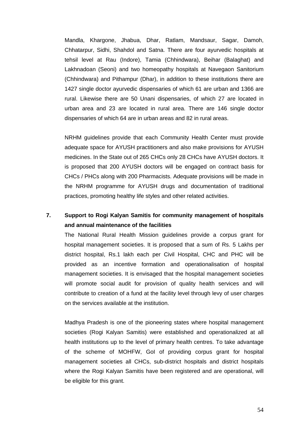Mandla, Khargone, Jhabua, Dhar, Ratlam, Mandsaur, Sagar, Damoh, Chhatarpur, Sidhi, Shahdol and Satna. There are four ayurvedic hospitals at tehsil level at Rau (Indore), Tamia (Chhindwara), Beihar (Balaghat) and Lakhnadoan (Seoni) and two homeopathy hospitals at Navegaon Sanitorium (Chhindwara) and Pithampur (Dhar), in addition to these institutions there are 1427 single doctor ayurvedic dispensaries of which 61 are urban and 1366 are rural. Likewise there are 50 Unani dispensaries, of which 27 are located in urban area and 23 are located in rural area. There are 146 single doctor dispensaries of which 64 are in urban areas and 82 in rural areas.

NRHM guidelines provide that each Community Health Center must provide adequate space for AYUSH practitioners and also make provisions for AYUSH medicines. In the State out of 265 CHCs only 28 CHCs have AYUSH doctors. It is proposed that 200 AYUSH doctors will be engaged on contract basis for CHCs / PHCs along with 200 Pharmacists. Adequate provisions will be made in the NRHM programme for AYUSH drugs and documentation of traditional practices, promoting healthy life styles and other related activities.

# **7. Support to Rogi Kalyan Samitis for community management of hospitals and annual maintenance of the facilities**

The National Rural Health Mission guidelines provide a corpus grant for hospital management societies. It is proposed that a sum of Rs. 5 Lakhs per district hospital, Rs.1 lakh each per Civil Hospital, CHC and PHC will be provided as an incentive formation and operationalisation of hospital management societies. It is envisaged that the hospital management societies will promote social audit for provision of quality health services and will contribute to creation of a fund at the facility level through levy of user charges on the services available at the institution.

Madhya Pradesh is one of the pioneering states where hospital management societies (Rogi Kalyan Samitis) were established and operationalized at all health institutions up to the level of primary health centres. To take advantage of the scheme of MOHFW, GoI of providing corpus grant for hospital management societies all CHCs, sub-district hospitals and district hospitals where the Rogi Kalyan Samitis have been registered and are operational, will be eligible for this grant.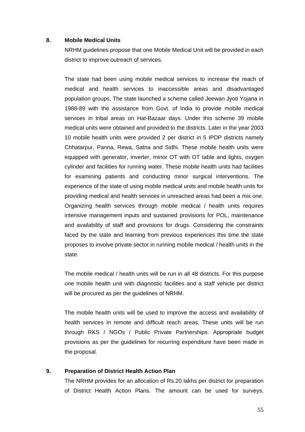#### **8. Mobile Medical Units**

NRHM guidelines propose that one Mobile Medical Unit will be provided in each district to improve outreach of services.

The state had been using mobile medical services to increase the reach of medical and health services to inaccessible areas and disadvantaged population groups. The state launched a scheme called Jeewan Jyoti Yojana in 1988-89 with the assistance from Govt. of India to provide mobile medical services in tribal areas on Hat-Bazaar days. Under this scheme 39 mobile medical units were obtained and provided to the districts. Later in the year 2003 10 mobile health units were provided 2 per district in 5 IPDP districts namely Chhatarpur, Panna, Rewa, Satna and Sidhi. These mobile health units were equipped with generator, inverter, minor OT with OT table and lights, oxygen cylinder and facilities for running water. These mobile health units had facilities for examining patients and conducting minor surgical interventions. The experience of the state of using mobile medical units and mobile health units for providing medical and health services in unreached areas had been a mix one. Organizing health services through mobile medical / health units requires intensive management inputs and sustained provisions for POL, maintenance and availability of staff and provisions for drugs. Considering the constraints faced by the state and learning from previous experiences this time the state proposes to involve private sector in running mobile medical / health units in the state.

The mobile medical / health units will be run in all 48 districts. For this purpose one mobile health unit with diagnostic facilities and a staff vehicle per district will be procured as per the guidelines of NRHM.

The mobile health units will be used to improve the access and availability of health services in remote and difficult reach areas. These units will be run through RKS / NGOs / Public Private Partnerships. Appropriate budget provisions as per the guidelines for recurring expenditure have been made in the proposal.

#### **9. Preparation of District Health Action Plan**

The NRHM provides for an allocation of Rs.20 lakhs per district for preparation of District Health Action Plans. The amount can be used for surveys,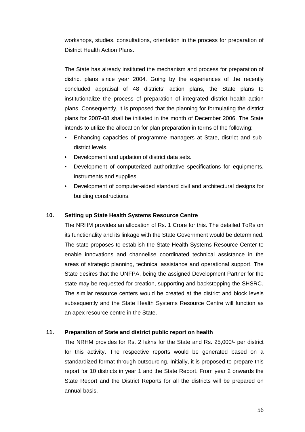workshops, studies, consultations, orientation in the process for preparation of District Health Action Plans.

The State has already instituted the mechanism and process for preparation of district plans since year 2004. Going by the experiences of the recently concluded appraisal of 48 districts' action plans, the State plans to institutionalize the process of preparation of integrated district health action plans. Consequently, it is proposed that the planning for formulating the district plans for 2007-08 shall be initiated in the month of December 2006. The State intends to utilize the allocation for plan preparation in terms of the following:

- Enhancing capacities of programme managers at State, district and subdistrict levels.
- Development and updation of district data sets.
- Development of computerized authoritative specifications for equipments, instruments and supplies.
- Development of computer-aided standard civil and architectural designs for building constructions.

# **10. Setting up State Health Systems Resource Centre**

The NRHM provides an allocation of Rs. 1 Crore for this. The detailed ToRs on its functionality and its linkage with the State Government would be determined. The state proposes to establish the State Health Systems Resource Center to enable innovations and channelise coordinated technical assistance in the areas of strategic planning, technical assistance and operational support. The State desires that the UNFPA, being the assigned Development Partner for the state may be requested for creation, supporting and backstopping the SHSRC. The similar resource centers would be created at the district and block levels subsequently and the State Health Systems Resource Centre will function as an apex resource centre in the State.

# **11. Preparation of State and district public report on health**

The NRHM provides for Rs. 2 lakhs for the State and Rs. 25,000/- per district for this activity. The respective reports would be generated based on a standardized format through outsourcing. Initially, it is proposed to prepare this report for 10 districts in year 1 and the State Report. From year 2 onwards the State Report and the District Reports for all the districts will be prepared on annual basis.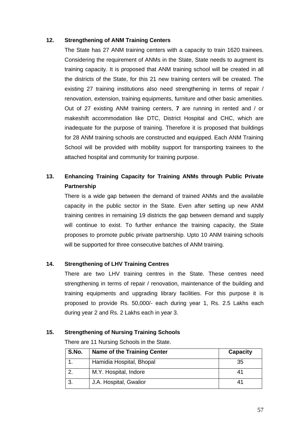# **12. Strengthening of ANM Training Centers**

The State has 27 ANM training centers with a capacity to train 1620 trainees. Considering the requirement of ANMs in the State, State needs to augment its training capacity. It is proposed that ANM training school will be created in all the districts of the State, for this 21 new training centers will be created. The existing 27 training institutions also need strengthening in terms of repair / renovation, extension, training equipments, furniture and other basic amenities. Out of 27 existing ANM training centers, **7** are running in rented and / or makeshift accommodation like DTC, District Hospital and CHC, which are inadequate for the purpose of training. Therefore it is proposed that buildings for 28 ANM training schools are constructed and equipped. Each ANM Training School will be provided with mobility support for transporting trainees to the attached hospital and community for training purpose.

# **13. Enhancing Training Capacity for Training ANMs through Public Private Partnership**

There is a wide gap between the demand of trained ANMs and the available capacity in the public sector in the State. Even after setting up new ANM training centres in remaining 19 districts the gap between demand and supply will continue to exist. To further enhance the training capacity, the State proposes to promote public private partnership. Upto 10 ANM training schools will be supported for three consecutive batches of ANM training.

# **14. Strengthening of LHV Training Centres**

There are two LHV training centres in the State. These centres need strengthening in terms of repair / renovation, maintenance of the building and training equipments and upgrading library facilities. For this purpose it is proposed to provide Rs. 50,000/- each during year 1, Rs. 2.5 Lakhs each during year 2 and Rs. 2 Lakhs each in year 3.

# **15. Strengthening of Nursing Training Schools**

There are 11 Nursing Schools in the State.

| S.No. | <b>Name of the Training Center</b> | <b>Capacity</b> |
|-------|------------------------------------|-----------------|
|       | Hamidia Hospital, Bhopal           | 35              |
|       | M.Y. Hospital, Indore              | 41              |
|       | J.A. Hospital, Gwalior             | 41              |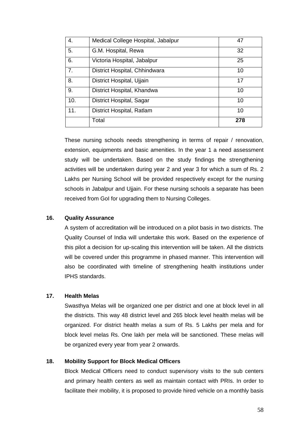| 4.  | Medical College Hospital, Jabalpur | 47  |
|-----|------------------------------------|-----|
| 5.  | G.M. Hospital, Rewa                | 32  |
| 6.  | Victoria Hospital, Jabalpur        | 25  |
| 7.  | District Hospital, Chhindwara      | 10  |
| 8.  | District Hospital, Ujjain          | 17  |
| 9.  | District Hospital, Khandwa         | 10  |
| 10. | District Hospital, Sagar           | 10  |
| 11. | District Hospital, Ratlam          | 10  |
|     | Total                              | 278 |

These nursing schools needs strengthening in terms of repair / renovation, extension, equipments and basic amenities. In the year 1 a need assessment study will be undertaken. Based on the study findings the strengthening activities will be undertaken during year 2 and year 3 for which a sum of Rs. 2 Lakhs per Nursing School will be provided respectively except for the nursing schools in Jabalpur and Ujjain. For these nursing schools a separate has been received from GoI for upgrading them to Nursing Colleges.

# **16. Quality Assurance**

A system of accreditation will be introduced on a pilot basis in two districts. The Quality Counsel of India will undertake this work. Based on the experience of this pilot a decision for up-scaling this intervention will be taken. All the districts will be covered under this programme in phased manner. This intervention will also be coordinated with timeline of strengthening health institutions under IPHS standards.

# **17. Health Melas**

Swasthya Melas will be organized one per district and one at block level in all the districts. This way 48 district level and 265 block level health melas will be organized. For district health melas a sum of Rs. 5 Lakhs per mela and for block level melas Rs. One lakh per mela will be sanctioned. These melas will be organized every year from year 2 onwards.

# **18. Mobility Support for Block Medical Officers**

Block Medical Officers need to conduct supervisory visits to the sub centers and primary health centers as well as maintain contact with PRIs. In order to facilitate their mobility, it is proposed to provide hired vehicle on a monthly basis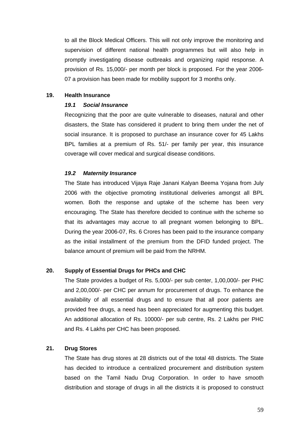to all the Block Medical Officers. This will not only improve the monitoring and supervision of different national health programmes but will also help in promptly investigating disease outbreaks and organizing rapid response. A provision of Rs. 15,000/- per month per block is proposed. For the year 2006- 07 a provision has been made for mobility support for 3 months only.

#### **19. Health Insurance**

#### *19.1 Social Insurance*

Recognizing that the poor are quite vulnerable to diseases, natural and other disasters, the State has considered it prudent to bring them under the net of social insurance. It is proposed to purchase an insurance cover for 45 Lakhs BPL families at a premium of Rs. 51/- per family per year, this insurance coverage will cover medical and surgical disease conditions.

#### *19.2 Maternity Insurance*

The State has introduced Vijaya Raje Janani Kalyan Beema Yojana from July 2006 with the objective promoting institutional deliveries amongst all BPL women. Both the response and uptake of the scheme has been very encouraging. The State has therefore decided to continue with the scheme so that its advantages may accrue to all pregnant women belonging to BPL. During the year 2006-07, Rs. 6 Crores has been paid to the insurance company as the initial installment of the premium from the DFID funded project. The balance amount of premium will be paid from the NRHM.

# **20. Supply of Essential Drugs for PHCs and CHC**

The State provides a budget of Rs. 5,000/- per sub center, 1,00,000/- per PHC and 2,00,000/- per CHC per annum for procurement of drugs. To enhance the availability of all essential drugs and to ensure that all poor patients are provided free drugs, a need has been appreciated for augmenting this budget. An additional allocation of Rs. 10000/- per sub centre, Rs. 2 Lakhs per PHC and Rs. 4 Lakhs per CHC has been proposed.

# **21. Drug Stores**

The State has drug stores at 28 districts out of the total 48 districts. The State has decided to introduce a centralized procurement and distribution system based on the Tamil Nadu Drug Corporation. In order to have smooth distribution and storage of drugs in all the districts it is proposed to construct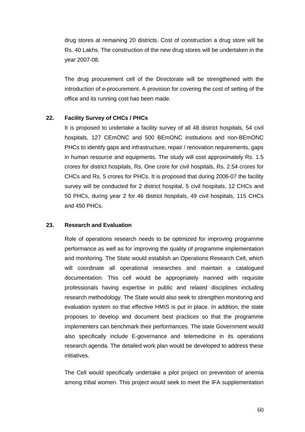drug stores at remaining 20 districts. Cost of construction a drug store will be Rs. 40 Lakhs. The construction of the new drug stores will be undertaken in the year 2007-08.

The drug procurement cell of the Directorate will be strengthened with the introduction of e-procurement. A provision for covering the cost of setting of the office and its running cost has been made.

# **22. Facility Survey of CHCs / PHCs**

It is proposed to undertake a facility survey of all 48 district hospitals, 54 civil hospitals, 127 CEmONC and 500 BEmONC institutions and non-BEmONC PHCs to identify gaps and infrastructure, repair / renovation requirements, gaps in human resource and equipments. The study will cost approximately Rs. 1.5 crores for district hospitals, Rs. One crore for civil hospitals, Rs. 2.54 crores for CHCs and Rs. 5 crores for PHCs. It is proposed that during 2006-07 the facility survey will be conducted for 2 district hospital, 5 civil hospitals, 12 CHCs and 50 PHCs, during year 2 for 46 district hospitals, 49 civil hospitals, 115 CHCs and 450 PHCs.

# **23. Research and Evaluation**

Role of operations research needs to be optimized for improving programme performance as well as for improving the quality of programme implementation and monitoring. The State would establish an Operations Research Cell, which will coordinate all operational researches and maintain a catalogued documentation. This cell would be appropriately manned with requisite professionals having expertise in public and related disciplines including research methodology. The State would also seek to strengthen monitoring and evaluation system so that effective HMIS is put in place. In addition, the state proposes to develop and document best practices so that the programme implementers can benchmark their performances. The state Government would also specifically include E-governance and telemedicine in its operations research agenda. The detailed work plan would be developed to address these initiatives.

The Cell would specifically undertake a pilot project on prevention of anemia among tribal women. This project would seek to meet the IFA supplementation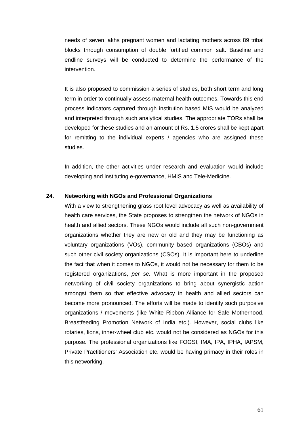needs of seven lakhs pregnant women and lactating mothers across 89 tribal blocks through consumption of double fortified common salt. Baseline and endline surveys will be conducted to determine the performance of the intervention.

It is also proposed to commission a series of studies, both short term and long term in order to continually assess maternal health outcomes. Towards this end process indicators captured through institution based MIS would be analyzed and interpreted through such analytical studies. The appropriate TORs shall be developed for these studies and an amount of Rs. 1.5 crores shall be kept apart for remitting to the individual experts / agencies who are assigned these studies.

In addition, the other activities under research and evaluation would include developing and instituting e-governance, HMIS and Tele-Medicine.

#### **24. Networking with NGOs and Professional Organizations**

With a view to strengthening grass root level advocacy as well as availability of health care services, the State proposes to strengthen the network of NGOs in health and allied sectors. These NGOs would include all such non-government organizations whether they are new or old and they may be functioning as voluntary organizations (VOs), community based organizations (CBOs) and such other civil society organizations (CSOs). It is important here to underline the fact that when it comes to NGOs, it would not be necessary for them to be registered organizations, *per se.* What is more important in the proposed networking of civil society organizations to bring about synergistic action amongst them so that effective advocacy in health and allied sectors can become more pronounced. The efforts will be made to identify such purposive organizations / movements (like White Ribbon Alliance for Safe Motherhood, Breastfeeding Promotion Network of India etc.). However, social clubs like rotaries, lions, inner-wheel club etc. would not be considered as NGOs for this purpose. The professional organizations like FOGSI, IMA, IPA, IPHA, IAPSM, Private Practitioners' Association etc. would be having primacy in their roles in this networking.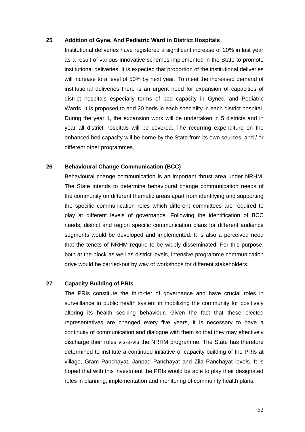#### **25 Addition of Gyne. And Pediatric Ward in District Hospitals**

Institutional deliveries have registered a significant increase of 20% in last year as a result of various innovative schemes implemented in the State to promote institutional deliveries. It is expected that proportion of the institutional deliveries will increase to a level of 50% by next year. To meet the increased demand of institutional deliveries there is an urgent need for expansion of capacities of district hospitals especially terms of bed capacity in Gynec. and Pediatric Wards. It is proposed to add 20 beds in each speciality in each district hospital. During the year 1, the expansion work will be undertaken in 5 districts and in year all district hospitals will be covered. The recurring expenditure on the enhanced bed capacity will be borne by the State from its own sources and / or different other programmes.

#### **26 Behavioural Change Communication (BCC)**

Behavioural change communication is an important thrust area under NRHM. The State intends to determine behavioural change communication needs of the community on different thematic areas apart from identifying and supporting the specific communication roles which different committees are required to play at different levels of governance. Following the identification of BCC needs, district and region specific communication plans for different audience segments would be developed and implemented. It is also a perceived need that the tenets of NRHM require to be widely disseminated. For this purpose, both at the block as well as district levels, intensive programme communication drive would be carried-out by way of workshops for different stakeholders.

# **27 Capacity Building of PRIs**

The PRIs constitute the third-tier of governance and have crucial roles in surveillance in public health system in mobilizing the community for positively altering its health seeking behaviour. Given the fact that these elected representatives are changed every five years, it is necessary to have a continuity of communication and dialogue with them so that they may effectively discharge their roles vis-à-vis the NRHM programme. The State has therefore determined to institute a continued initiative of capacity building of the PRIs at village, Gram Panchayat, Janpad Panchayat and Zila Panchayat levels. It is hoped that with this investment the PRIs would be able to play their designated roles in planning, implementation and monitoring of community health plans.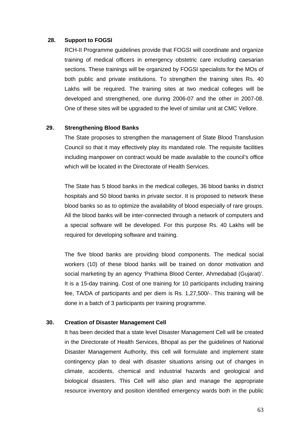#### **28. Support to FOGSI**

RCH-II Programme guidelines provide that FOGSI will coordinate and organize training of medical officers in emergency obstetric care including caesarian sections. These trainings will be organized by FOGSI specialists for the MOs of both public and private institutions. To strengthen the training sites Rs. 40 Lakhs will be required. The training sites at two medical colleges will be developed and strengthened, one during 2006-07 and the other in 2007-08. One of these sites will be upgraded to the level of similar unit at CMC Vellore.

# **29. Strengthening Blood Banks**

The State proposes to strengthen the management of State Blood Transfusion Council so that it may effectively play its mandated role. The requisite facilities including manpower on contract would be made available to the council's office which will be located in the Directorate of Health Services.

The State has 5 blood banks in the medical colleges, 36 blood banks in district hospitals and 50 blood banks in private sector. It is proposed to network these blood banks so as to optimize the availability of blood especially of rare groups. All the blood banks will be inter-connected through a network of computers and a special software will be developed. For this purpose Rs. 40 Lakhs will be required for developing software and training.

The five blood banks are providing blood components. The medical social workers (10) of these blood banks will be trained on donor motivation and social marketing by an agency 'Prathima Blood Center, Ahmedabad (Gujarat)'. It is a 15-day training. Cost of one training for 10 participants including training fee, TA/DA of participants and per diem is Rs. 1,27,500/-. This training will be done in a batch of 3 participants per training programme.

#### **30. Creation of Disaster Management Cell**

It has been decided that a state level Disaster Management Cell will be created in the Directorate of Health Services, Bhopal as per the guidelines of National Disaster Management Authority, this cell will formulate and implement state contingency plan to deal with disaster situations arising out of changes in climate, accidents, chemical and industrial hazards and geological and biological disasters. This Cell will also plan and manage the appropriate resource inventory and position identified emergency wards both in the public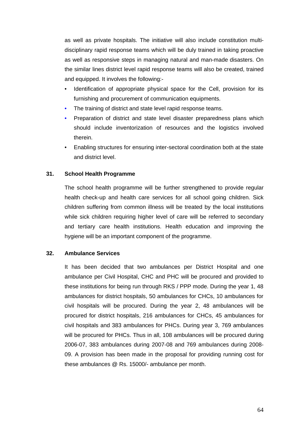as well as private hospitals. The initiative will also include constitution multidisciplinary rapid response teams which will be duly trained in taking proactive as well as responsive steps in managing natural and man-made disasters. On the similar lines district level rapid response teams will also be created, trained and equipped. It involves the following:-

- Identification of appropriate physical space for the Cell, provision for its furnishing and procurement of communication equipments.
- The training of district and state level rapid response teams.
- Preparation of district and state level disaster preparedness plans which should include inventorization of resources and the logistics involved therein.
- Enabling structures for ensuring inter-sectoral coordination both at the state and district level.

# **31. School Health Programme**

The school health programme will be further strengthened to provide regular health check-up and health care services for all school going children. Sick children suffering from common illness will be treated by the local institutions while sick children requiring higher level of care will be referred to secondary and tertiary care health institutions. Health education and improving the hygiene will be an important component of the programme.

# **32. Ambulance Services**

It has been decided that two ambulances per District Hospital and one ambulance per Civil Hospital, CHC and PHC will be procured and provided to these institutions for being run through RKS / PPP mode. During the year 1, 48 ambulances for district hospitals, 50 ambulances for CHCs, 10 ambulances for civil hospitals will be procured. During the year 2, 48 ambulances will be procured for district hospitals, 216 ambulances for CHCs, 45 ambulances for civil hospitals and 383 ambulances for PHCs. During year 3, 769 ambulances will be procured for PHCs. Thus in all, 108 ambulances will be procured during 2006-07, 383 ambulances during 2007-08 and 769 ambulances during 2008- 09. A provision has been made in the proposal for providing running cost for these ambulances @ Rs. 15000/- ambulance per month.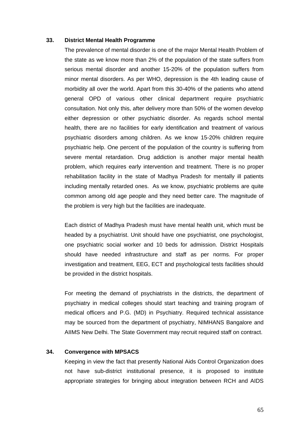#### **33. District Mental Health Programme**

The prevalence of mental disorder is one of the major Mental Health Problem of the state as we know more than 2% of the population of the state suffers from serious mental disorder and another 15-20% of the population suffers from minor mental disorders. As per WHO, depression is the 4th leading cause of morbidity all over the world. Apart from this 30-40% of the patients who attend general OPD of various other clinical department require psychiatric consultation. Not only this, after delivery more than 50% of the women develop either depression or other psychiatric disorder. As regards school mental health, there are no facilities for early identification and treatment of various psychiatric disorders among children. As we know 15-20% children require psychiatric help. One percent of the population of the country is suffering from severe mental retardation. Drug addiction is another major mental health problem, which requires early intervention and treatment. There is no proper rehabilitation facility in the state of Madhya Pradesh for mentally ill patients including mentally retarded ones. As we know, psychiatric problems are quite common among old age people and they need better care. The magnitude of the problem is very high but the facilities are inadequate.

Each district of Madhya Pradesh must have mental health unit, which must be headed by a psychiatrist. Unit should have one psychiatrist, one psychologist, one psychiatric social worker and 10 beds for admission. District Hospitals should have needed infrastructure and staff as per norms. For proper investigation and treatment, EEG, ECT and psychological tests facilities should be provided in the district hospitals.

For meeting the demand of psychiatrists in the districts, the department of psychiatry in medical colleges should start teaching and training program of medical officers and P.G. (MD) in Psychiatry. Required technical assistance may be sourced from the department of psychiatry, NIMHANS Bangalore and AIIMS New Delhi. The State Government may recruit required staff on contract.

#### **34. Convergence with MPSACS**

Keeping in view the fact that presently National Aids Control Organization does not have sub-district institutional presence, it is proposed to institute appropriate strategies for bringing about integration between RCH and AIDS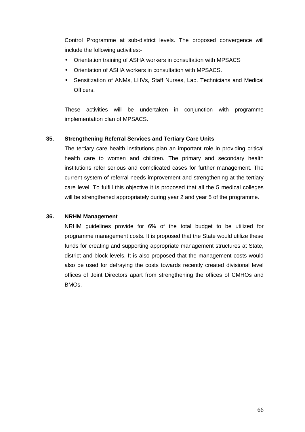Control Programme at sub-district levels. The proposed convergence will include the following activities:-

- Orientation training of ASHA workers in consultation with MPSACS
- Orientation of ASHA workers in consultation with MPSACS.
- Sensitization of ANMs, LHVs, Staff Nurses, Lab. Technicians and Medical Officers.

These activities will be undertaken in conjunction with programme implementation plan of MPSACS.

# **35. Strengthening Referral Services and Tertiary Care Units**

The tertiary care health institutions plan an important role in providing critical health care to women and children. The primary and secondary health institutions refer serious and complicated cases for further management. The current system of referral needs improvement and strengthening at the tertiary care level. To fulfill this objective it is proposed that all the 5 medical colleges will be strengthened appropriately during year 2 and year 5 of the programme.

# **36. NRHM Management**

NRHM guidelines provide for 6% of the total budget to be utilized for programme management costs. It is proposed that the State would utilize these funds for creating and supporting appropriate management structures at State, district and block levels. It is also proposed that the management costs would also be used for defraying the costs towards recently created divisional level offices of Joint Directors apart from strengthening the offices of CMHOs and **BMOs**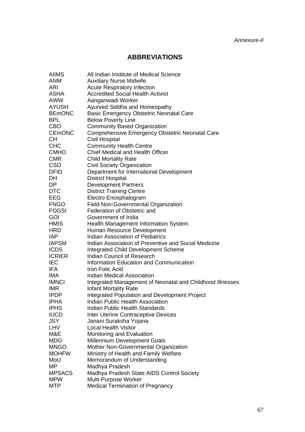# **ABBREVIATIONS**

| <b>AIIMS</b>              | All Indian Institute of Medical Science                                           |
|---------------------------|-----------------------------------------------------------------------------------|
| ANM                       | <b>Auxiliary Nurse Midwife</b>                                                    |
| ARI                       | <b>Acute Respiratory Infection</b>                                                |
| <b>ASHA</b>               | <b>Accredited Social Health Activist</b>                                          |
| <b>AWW</b>                | Aanganwadi Worker                                                                 |
| <b>AYUSH</b>              | Ayurved Siddha and Homeopathy                                                     |
| <b>BEMONC</b>             | Basic Emergency Obstetric Neonatal Care                                           |
| <b>BPL</b>                | <b>Below Poverty Line</b>                                                         |
| <b>CBO</b>                | <b>Community Based Organization</b>                                               |
| <b>CEMONC</b>             | Comprehensive Emergency Obstetric Neonatal Care                                   |
| <b>CH</b>                 | <b>Civil Hospital</b>                                                             |
| <b>CHC</b>                | <b>Community Health Centre</b>                                                    |
| <b>CMHO</b>               | Chief Medical and Health Officer                                                  |
| <b>CMR</b>                | <b>Child Mortality Rate</b>                                                       |
| <b>CSO</b>                | <b>Civil Society Organization</b>                                                 |
| <b>DFID</b>               | Department for International Development                                          |
| DH                        | <b>District Hospital</b>                                                          |
| DP                        | <b>Development Partners</b>                                                       |
| <b>DTC</b>                | <b>District Training Centre</b>                                                   |
| <b>EEG</b>                | Electro Encephalogram                                                             |
| <b>FNGO</b>               | <b>Field Non-Governmental Organization</b>                                        |
| <b>FOGSI</b>              | Federation of Obstetric and                                                       |
| <b>GOI</b>                | Government of India                                                               |
| <b>HMIS</b>               | <b>Health Management Information System</b>                                       |
| <b>HRD</b>                | Human Resource Development                                                        |
| <b>IAP</b>                | <b>Indian Association of Pediatrics</b>                                           |
| <b>IAPSM</b>              | Indian Association of Preventive and Social Medicine                              |
| <b>ICDS</b>               | <b>Integrated Child Development Scheme</b>                                        |
| <b>ICRIER</b>             | <b>Indian Council of Research</b>                                                 |
| <b>IEC</b>                | Information Education and Communication                                           |
| IFA.                      | Iron Folic Acid                                                                   |
| IMA                       | <b>Indian Medical Association</b>                                                 |
| <b>IMNCI</b>              | Integrated Management of Neonatal and Childhood Illnesses                         |
| <b>IMR</b>                | <b>Infant Mortality Rate</b>                                                      |
| <b>IPDP</b>               | Integrated Population and Development Project<br>Indian Public Health Association |
| <b>IPHA</b>               |                                                                                   |
| <b>IPHS</b>               | <b>Indian Public Health Standards</b>                                             |
| <b>IUCD</b><br><b>JSY</b> | <b>Inter Uterine Contraceptive Devices</b>                                        |
| LHV                       | Janani Suraksha Yojana<br><b>Local Health Visitor</b>                             |
| M&E                       | Monitoring and Evaluation                                                         |
| <b>MDG</b>                | Millennium Development Goals                                                      |
| <b>MNGO</b>               | Mother Non-Governmental Organization                                              |
| <b>MOHFW</b>              | Ministry of Health and Family Welfare                                             |
| MoU                       | Memorandum of Understanding                                                       |
| MP                        | Madhya Pradesh                                                                    |
| <b>MPSACS</b>             | Madhya Pradesh State AIDS Control Society                                         |
| <b>MPW</b>                | Multi-Purpose Worker                                                              |
| <b>MTP</b>                | <b>Medical Termination of Pregnancy</b>                                           |
|                           |                                                                                   |